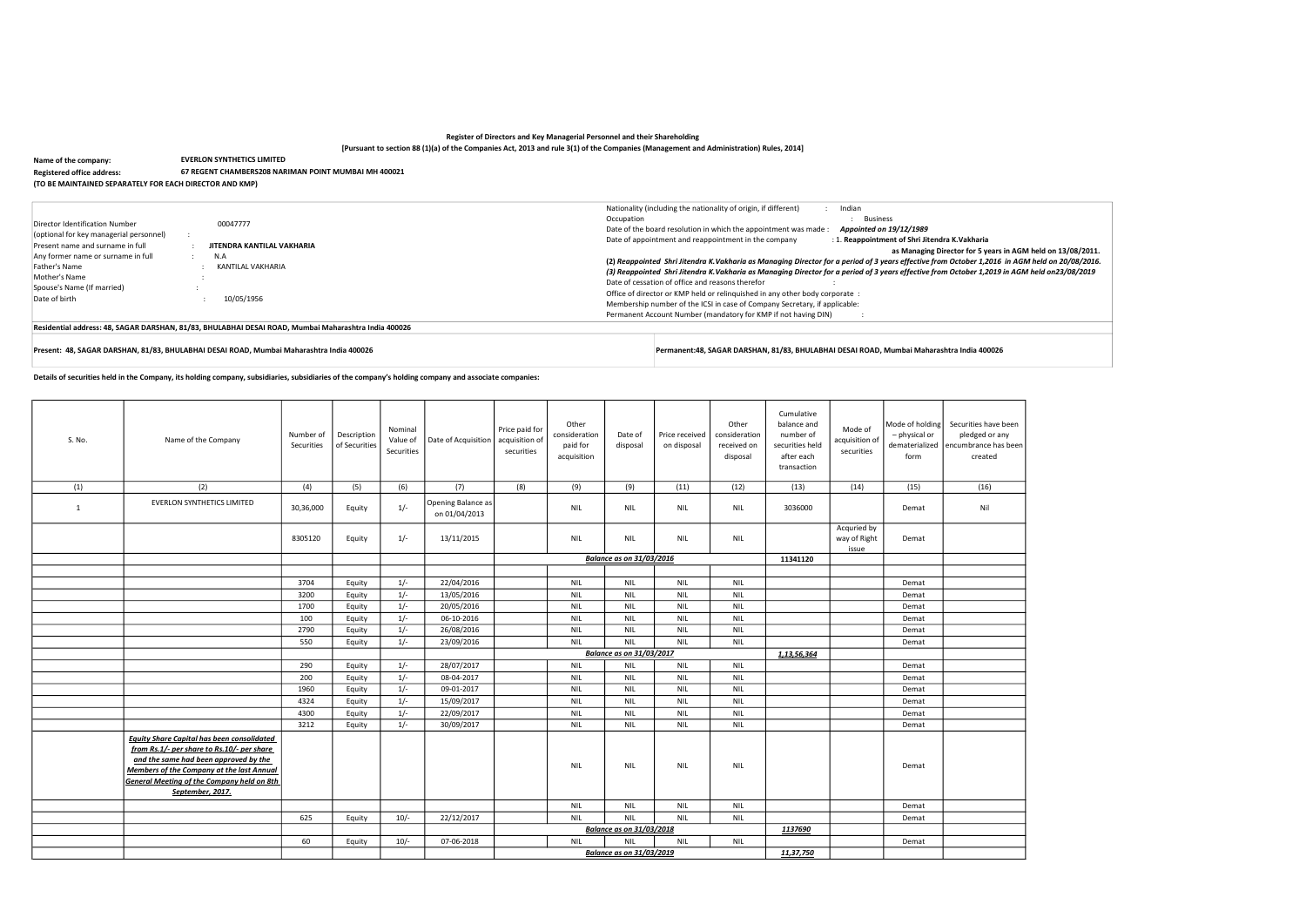# Register of Directors and Key Managerial Personnel and their Shareholding [Pursuant to section 88 (1)(a) of the Companies Act, 2013 and rule 3(1) of the Companies (Management and Administration) Rules, 2014]

Details of securities held in the Company, its holding company, subsidiaries, subsidiaries of the company's holding company and associate companies:

Name of the company: Registered office address: (TO BE MAINTAINED SEPARATELY FOR EACH DIRECTOR AND KMP) EVERLON SYNTHETICS LIMITED 67 REGENT CHAMBERS208 NARIMAN POINT MUMBAI MH 400021

|                                                                                                               |                                                                                                      | Nationality (including the nationality of origin, if different)<br>Indian                                                                                                                                                                                               |
|---------------------------------------------------------------------------------------------------------------|------------------------------------------------------------------------------------------------------|-------------------------------------------------------------------------------------------------------------------------------------------------------------------------------------------------------------------------------------------------------------------------|
| Director Identification Number<br>(optional for key managerial personnel)<br>Present name and surname in full | 00047777<br>JITENDRA KANTILAL VAKHARIA                                                               | Occupation<br><b>Business</b><br>Date of the board resolution in which the appointment was made:<br>Appointed on 19/12/1989<br>Date of appointment and reappointment in the company<br>: 1. Reappointment of Shri Jitendra K. Vakharia<br>as Managing Director for 5 yo |
| Any former name or surname in full                                                                            | N.A                                                                                                  | (2) Reappointed Shri Jitendra K. Vakharia as Managing Director for a period of 3 years effective from October 1,2                                                                                                                                                       |
| Father's Name<br>Mother's Name                                                                                | KANTILAL VAKHARIA                                                                                    | (3) Reappointed Shri Jitendra K.Vakharia as Managing Director for a period of 3 years effective from October 1,2                                                                                                                                                        |
| Spouse's Name (If married)                                                                                    |                                                                                                      | Date of cessation of office and reasons therefor                                                                                                                                                                                                                        |
| Date of birth                                                                                                 | 10/05/1956                                                                                           | Office of director or KMP held or relinguished in any other body corporate :<br>Membership number of the ICSI in case of Company Secretary, if applicable:                                                                                                              |
|                                                                                                               |                                                                                                      | Permanent Account Number (mandatory for KMP if not having DIN)                                                                                                                                                                                                          |
|                                                                                                               | Residential address: 48, SAGAR DARSHAN, 81/83, BHULABHAI DESAI ROAD, Mumbai Maharashtra India 400026 |                                                                                                                                                                                                                                                                         |

Present: 48, SAGAR DARSHAN, 81/83, BHULABHAI DESAI ROAD, Mumbai Maharashtra India 400026 Permanent:48, SAGAR DARSHAN, 81/83, BHULABHAI DESAI ROAD, Mumbai Maharashtra India 400026

| S. No.       | Name of the Company                                                                                                                                                                                                                                                   | Number of<br>Securities | Description<br>of Securities | Nominal<br>Value of<br>Securities | Date of Acquisition                 | Price paid for<br>acquisition of<br>securities | Other<br>consideration<br>paid for<br>acquisition | Date of<br>disposal             | Price received<br>on disposal | Other<br>consideration<br>received on<br>disposal | Cumulative<br>balance and<br>number of<br>securities held<br>after each<br>transaction | Mode of<br>acquisition of<br>securities | Mode of holding<br>- physical or<br>dematerialized<br>form | Securities ha<br>pledged o<br>encumbrance<br>create |
|--------------|-----------------------------------------------------------------------------------------------------------------------------------------------------------------------------------------------------------------------------------------------------------------------|-------------------------|------------------------------|-----------------------------------|-------------------------------------|------------------------------------------------|---------------------------------------------------|---------------------------------|-------------------------------|---------------------------------------------------|----------------------------------------------------------------------------------------|-----------------------------------------|------------------------------------------------------------|-----------------------------------------------------|
| (1)          | (2)                                                                                                                                                                                                                                                                   | (4)                     | (5)                          | (6)                               | (7)                                 | (8)                                            | (9)                                               | (9)                             | (11)                          | (12)                                              | (13)                                                                                   | (14)                                    | (15)                                                       | (16)                                                |
| $\mathbf{1}$ | <b>EVERLON SYNTHETICS LIMITED</b>                                                                                                                                                                                                                                     | 30,36,000               | Equity                       | $1/-$                             | Opening Balance as<br>on 01/04/2013 |                                                | <b>NIL</b>                                        | <b>NIL</b>                      | <b>NIL</b>                    | <b>NIL</b>                                        | 3036000                                                                                |                                         | Demat                                                      | Nil                                                 |
|              |                                                                                                                                                                                                                                                                       | 8305120                 | Equity                       | $1/-$                             | 13/11/2015                          |                                                | <b>NIL</b>                                        | <b>NIL</b>                      | <b>NIL</b>                    | <b>NIL</b>                                        |                                                                                        | Acquried by<br>way of Right<br>issue    | Demat                                                      |                                                     |
|              |                                                                                                                                                                                                                                                                       |                         |                              |                                   |                                     |                                                |                                                   | <b>Balance as on 31/03/2016</b> |                               |                                                   | 11341120                                                                               |                                         |                                                            |                                                     |
|              |                                                                                                                                                                                                                                                                       |                         |                              |                                   |                                     |                                                |                                                   |                                 |                               |                                                   |                                                                                        |                                         |                                                            |                                                     |
|              |                                                                                                                                                                                                                                                                       | 3704                    | Equity                       | $1/-$                             | 22/04/2016                          |                                                | <b>NIL</b>                                        | <b>NIL</b>                      | <b>NIL</b>                    | <b>NIL</b>                                        |                                                                                        |                                         | Demat                                                      |                                                     |
|              |                                                                                                                                                                                                                                                                       | 3200                    | Equity                       | $1/-$                             | 13/05/2016                          |                                                | <b>NIL</b>                                        | <b>NIL</b>                      | <b>NIL</b>                    | <b>NIL</b>                                        |                                                                                        |                                         | Demat                                                      |                                                     |
|              |                                                                                                                                                                                                                                                                       | 1700                    | Equity                       | $1/-$                             | 20/05/2016                          |                                                | <b>NIL</b>                                        | <b>NIL</b>                      | <b>NIL</b>                    | <b>NIL</b>                                        |                                                                                        |                                         | Demat                                                      |                                                     |
|              |                                                                                                                                                                                                                                                                       | 100                     | Equity                       | $1/-$                             | 06-10-2016                          |                                                | <b>NIL</b>                                        | <b>NIL</b>                      | <b>NIL</b>                    | <b>NIL</b>                                        |                                                                                        |                                         | Demat                                                      |                                                     |
|              |                                                                                                                                                                                                                                                                       | 2790                    | Equity                       | $1/-$                             | 26/08/2016                          |                                                | <b>NIL</b>                                        | <b>NIL</b>                      | <b>NIL</b>                    | <b>NIL</b>                                        |                                                                                        |                                         | Demat                                                      |                                                     |
|              |                                                                                                                                                                                                                                                                       | 550                     | Equity                       | $1/-$                             | 23/09/2016                          |                                                | <b>NIL</b>                                        | <b>NIL</b>                      | <b>NIL</b>                    | <b>NIL</b>                                        |                                                                                        |                                         | Demat                                                      |                                                     |
|              |                                                                                                                                                                                                                                                                       |                         |                              |                                   |                                     |                                                |                                                   | <b>Balance as on 31/03/2017</b> |                               |                                                   | 1, 13, 56, 364                                                                         |                                         |                                                            |                                                     |
|              |                                                                                                                                                                                                                                                                       | 290                     | Equity                       | $1/-$                             | 28/07/2017                          |                                                | <b>NIL</b>                                        | <b>NIL</b>                      | <b>NIL</b>                    | <b>NIL</b>                                        |                                                                                        |                                         | Demat                                                      |                                                     |
|              |                                                                                                                                                                                                                                                                       | 200                     | Equity                       | $1/-$                             | 08-04-2017                          |                                                | <b>NIL</b>                                        | <b>NIL</b>                      | <b>NIL</b>                    | <b>NIL</b>                                        |                                                                                        |                                         | Demat                                                      |                                                     |
|              |                                                                                                                                                                                                                                                                       | 1960                    | Equity                       | $1/-$                             | 09-01-2017                          |                                                | <b>NIL</b>                                        | <b>NIL</b>                      | <b>NIL</b>                    | <b>NIL</b>                                        |                                                                                        |                                         | Demat                                                      |                                                     |
|              |                                                                                                                                                                                                                                                                       | 4324                    | Equity                       | $1/-$                             | 15/09/2017                          |                                                | <b>NIL</b>                                        | <b>NIL</b>                      | <b>NIL</b>                    | <b>NIL</b>                                        |                                                                                        |                                         | Demat                                                      |                                                     |
|              |                                                                                                                                                                                                                                                                       | 4300                    | Equity                       | $1/-$                             | 22/09/2017                          |                                                | <b>NIL</b>                                        | <b>NIL</b>                      | <b>NIL</b>                    | <b>NIL</b>                                        |                                                                                        |                                         | Demat                                                      |                                                     |
|              |                                                                                                                                                                                                                                                                       | 3212                    | Equity                       | $1/-$                             | 30/09/2017                          |                                                | <b>NIL</b>                                        | <b>NIL</b>                      | <b>NIL</b>                    | <b>NIL</b>                                        |                                                                                        |                                         | Demat                                                      |                                                     |
|              | <b>Equity Share Capital has been consolidated</b><br>from Rs.1/- per share to Rs.10/- per share<br>and the same had been approved by the<br><b>Members of the Company at the last Annual</b><br><b>General Meeting of the Company held on 8th</b><br>September, 2017. |                         |                              |                                   |                                     |                                                | <b>NIL</b>                                        | <b>NIL</b>                      | <b>NIL</b>                    | <b>NIL</b>                                        |                                                                                        |                                         | Demat                                                      |                                                     |
|              |                                                                                                                                                                                                                                                                       |                         |                              |                                   |                                     |                                                | <b>NIL</b>                                        | <b>NIL</b>                      | <b>NIL</b>                    | <b>NIL</b>                                        |                                                                                        |                                         | Demat                                                      |                                                     |
|              |                                                                                                                                                                                                                                                                       | 625                     | Equity                       | $10/-$                            | 22/12/2017                          |                                                | <b>NIL</b>                                        | <b>NIL</b>                      | <b>NIL</b>                    | <b>NIL</b>                                        |                                                                                        |                                         | Demat                                                      |                                                     |
|              |                                                                                                                                                                                                                                                                       |                         |                              |                                   |                                     | Balance as on 31/03/2018                       |                                                   |                                 |                               |                                                   | 1137690                                                                                |                                         |                                                            |                                                     |
|              |                                                                                                                                                                                                                                                                       | 60                      | Equity                       | $10/-$                            | 07-06-2018                          |                                                | <b>NIL</b>                                        | <b>NIL</b>                      | <b>NIL</b>                    | <b>NIL</b>                                        |                                                                                        |                                         | Demat                                                      |                                                     |
|              |                                                                                                                                                                                                                                                                       |                         |                              |                                   |                                     |                                                |                                                   | <b>Balance as on 31/03/2019</b> |                               |                                                   | 11,37,750                                                                              |                                         |                                                            |                                                     |
|              |                                                                                                                                                                                                                                                                       |                         |                              |                                   |                                     |                                                |                                                   |                                 |                               |                                                   |                                                                                        |                                         |                                                            |                                                     |

years in AGM held on 13/08/2011. .<br>V.2016 in AGM held on 20/08/2016. .<br>, 2019 in AGM held on23/08/2019

have been l or any ce has been ted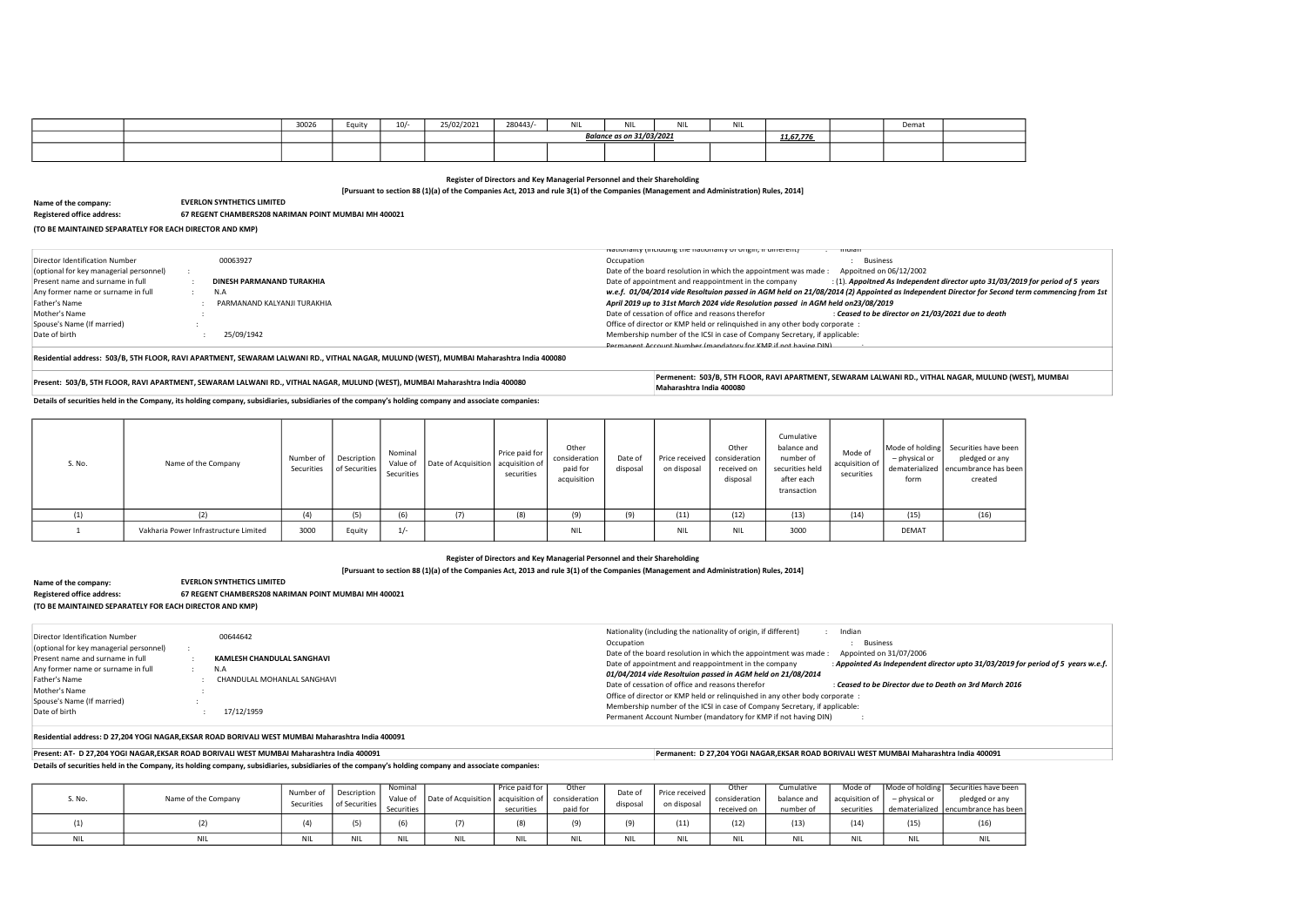[Pursuant to section 88 (1)(a) of the Companies Act, 2013 and rule 3(1) of the Companies (Management and Administration) Rules, 2014]

Details of securities held in the Company, its holding company, subsidiaries, subsidiaries of the company's holding company and associate companies:

|  | 30026 | Equity | $\cdot$ $\sim$ $\cdot$<br>10/- | 25/02/2021 | 280443/          | <b>NIII</b><br><b>UNIL</b> | <b>NIL</b> | <b>A.L.L.</b> | $\ddotsc$<br>IN I ⊑ |                    | Demat |  |
|--|-------|--------|--------------------------------|------------|------------------|----------------------------|------------|---------------|---------------------|--------------------|-------|--|
|  |       |        |                                |            | 31/03/2021<br>n. |                            |            |               |                     | 11.67.776<br>11.b/ |       |  |
|  |       |        |                                |            |                  |                            |            |               |                     |                    |       |  |

Register of Directors and Key Managerial Personnel and their Shareholding

[Pursuant to section 88 (1)(a) of the Companies Act, 2013 and rule 3(1) of the Companies (Management and Administration) Rules, 2014]

Name of the company:

| Name of the company:              | <b>EVERLON SYNTHETICS LIMITED</b>                    |
|-----------------------------------|------------------------------------------------------|
| <b>Registered office address:</b> | 67 REGENT CHAMBERS208 NARIMAN POINT MUMBAI MH 400021 |

(TO BE MAINTAINED SEPARATELY FOR EACH DIRECTOR AND KMP)

Details of securities held in the Company, its holding company, subsidiaries, subsidiaries of the company's holding company and associate companies:

## Residential address: D 27,204 YOGI NAGAR,EKSAR ROAD BORIVALI WEST MUMBAI Maharashtra India 400091

Present: AT- D 27,204 YOGI NAGAR,EKSAR ROAD BORIVALI WEST MUMBAI Maharashtra India 400091 Permanent: D 27,204 YOGI NAGAR,EKSAR ROAD BORIVALI WEST MUMBAI Maharashtra India 400091

Registered office address: 67 REGENT CHAMBERS208 NARIMAN POINT MUMBAI MH 400021

Residential address: 503/B, 5TH FLOOR, RAVI APARTMENT, SEWARAM LALWANI RD., VITHAL NAGAR, MULUND (WEST), MUMBAI Maharashtra India 400080

EVERLON SYNTHETICS LIMITED

Permenent: 503/B, STH FLOOR, RAVI APARTMENT, SEWARAM LALWANI RD., VITHAL NAGAR, MULUND (WEST), MUMBAI Maharashtra India 400080 Permenent: 503/B, STH FLOOR, RAVI APARTMENT, SEWARAM LALWANI RD., VITHAL NAGAR, MULUND (WEST), Maharashtra India 400080

| Director Identification Number<br>(optional for key managerial personnel)<br>Present name and surname in full<br>Any former name or surname in full<br>Father's Name<br>Mother's Name<br>Spouse's Name (If married)<br>Date of birth | 00644642<br>KAMLESH CHANDULAL SANGHAVI<br>N.A<br>CHANDULAL MOHANLAL SANGHAVI<br>17/12/1959 |  | Nationality (including the nationality of origin, if different)<br>Indian<br>Occupation<br><b>Business</b><br>Date of the board resolution in which the appointment was made:<br>Appointed on 31/07/2006<br>Date of appointment and reappointment in the company<br>: Appointed As Independent director upto 31/03/2019 fo<br>01/04/2014 vide Resoltuion passed in AGM held on 21/08/2014<br>Date of cessation of office and reasons therefor<br>: Ceased to be Director due to Death on 3rd March 2016<br>Office of director or KMP held or relinguished in any other body corporate :<br>Membership number of the ICSI in case of Company Secretary, if applicable:<br>Permanent Account Number (mandatory for KMP if not having DIN) |
|--------------------------------------------------------------------------------------------------------------------------------------------------------------------------------------------------------------------------------------|--------------------------------------------------------------------------------------------|--|-----------------------------------------------------------------------------------------------------------------------------------------------------------------------------------------------------------------------------------------------------------------------------------------------------------------------------------------------------------------------------------------------------------------------------------------------------------------------------------------------------------------------------------------------------------------------------------------------------------------------------------------------------------------------------------------------------------------------------------------|
|--------------------------------------------------------------------------------------------------------------------------------------------------------------------------------------------------------------------------------------|--------------------------------------------------------------------------------------------|--|-----------------------------------------------------------------------------------------------------------------------------------------------------------------------------------------------------------------------------------------------------------------------------------------------------------------------------------------------------------------------------------------------------------------------------------------------------------------------------------------------------------------------------------------------------------------------------------------------------------------------------------------------------------------------------------------------------------------------------------------|

| S. No. | Name of the Company                   | Number of | Description<br>Securities   of Securities | Nominal<br>Securities | Value of   Date of Acquisition   acquisition of | Price paid for<br>securities | Other<br>consideration<br>paid for<br>acquisition | Date of<br>disposal | Price received  <br>on disposal | Other<br>consideration<br>received on<br>disposal | Cumulative<br>balance and<br>number of<br>securities held<br>after each<br>transaction | Mode of<br>acquisition of<br>securities | Mode of holding Securities ha<br>- physical or<br>dematerialized encumbrance<br>form | pledged c<br>create |
|--------|---------------------------------------|-----------|-------------------------------------------|-----------------------|-------------------------------------------------|------------------------------|---------------------------------------------------|---------------------|---------------------------------|---------------------------------------------------|----------------------------------------------------------------------------------------|-----------------------------------------|--------------------------------------------------------------------------------------|---------------------|
| (1)    | (2)                                   | (4)       | (5)                                       | (6)                   | (7)                                             | (8)                          | (9)                                               | (9)                 | (11)                            | (12)                                              | (13)                                                                                   | (14)                                    | (15)                                                                                 | (16)                |
|        | Vakharia Power Infrastructure Limited | 3000      | Equity                                    | $1/-$                 |                                                 |                              | <b>NIL</b>                                        |                     | NIL                             | <b>NIL</b>                                        | 3000                                                                                   |                                         | <b>DEMAT</b>                                                                         |                     |

| ;. No. | Name of the Company | Number of<br>Securities | <b>Description</b><br>of Securities | Nominal<br>Value of<br>Securities | Date of Acquisition   acquisition of | I Price paid for '<br>securities | Other<br>consideration<br>paid for | Date of<br>disposai | Price received<br>on disposal | Other<br>consideration<br>received on | Cumulative<br>balance and<br>number of | Mode of<br>acquisition of<br>securities | $-$ physical or | Mode of holding Securities have been<br>pledged or any<br>dematerialized encumbrance has been |
|--------|---------------------|-------------------------|-------------------------------------|-----------------------------------|--------------------------------------|----------------------------------|------------------------------------|---------------------|-------------------------------|---------------------------------------|----------------------------------------|-----------------------------------------|-----------------|-----------------------------------------------------------------------------------------------|
|        |                     |                         | $\sqrt{2}$                          |                                   | $\left($                             |                                  |                                    |                     | 11)                           | (12)                                  | (13)                                   | (14)                                    | (15)            | ر ب⊥ ا                                                                                        |
|        | <b>NIL</b>          |                         | <b>NIL</b>                          | <b>MILL</b>                       | <b>NIL</b>                           | <b>NII</b>                       | <b>A111</b>                        |                     | <b>A111</b>                   | NIL.                                  | <b>NII</b>                             | ו שונ                                   | <b>NIL</b>      | NIL                                                                                           |



o 31/03/2019 for period of 5 years or Second term commencing from 1st

have been l or any ce has been ted

 $\theta$  /03/2019 for period of 5 years w.e.f.

|                                         |                             | IN INTERNATIVE INCIDENT IN THE CONTROL IN THE INTERNATIVE THE MATTER IN THE INTERNATIVE IN THE INTERNATIVE IN<br>- indian |
|-----------------------------------------|-----------------------------|---------------------------------------------------------------------------------------------------------------------------|
| Director Identification Number          | 00063927                    | Occupation<br>Business                                                                                                    |
| (optional for key managerial personnel) |                             | Date of the board resolution in which the appointment was made:<br>Appoitned on 06/12/2002                                |
| Present name and surname in full        | DINESH PARMANAND TURAKHIA   | Date of appointment and reappointment in the company<br>$(1)$ . Appoitned As Independent director upto 31/03              |
| Any former name or surname in full      | N.A                         | w.e.f. 01/04/2014 vide Resoltuion passed in AGM held on 21/08/2014 (2) Appointed as Independent Director for Secor        |
| Father's Name                           | PARMANAND KALYANJI TURAKHIA | April 2019 up to 31st March 2024 vide Resolution passed in AGM held on23/08/2019                                          |
| Mother's Name                           |                             | Date of cessation of office and reasons therefor<br>: Ceased to be director on 21/03/2021 due to death                    |
| Spouse's Name (If married)              |                             | Office of director or KMP held or relinguished in any other body corporate :                                              |
| Date of birth                           | 25/09/1942                  | Membership number of the ICSI in case of Company Secretary, if applicable:                                                |
|                                         |                             | Permanent Account Number (mandatory for KMP if not having DIN)                                                            |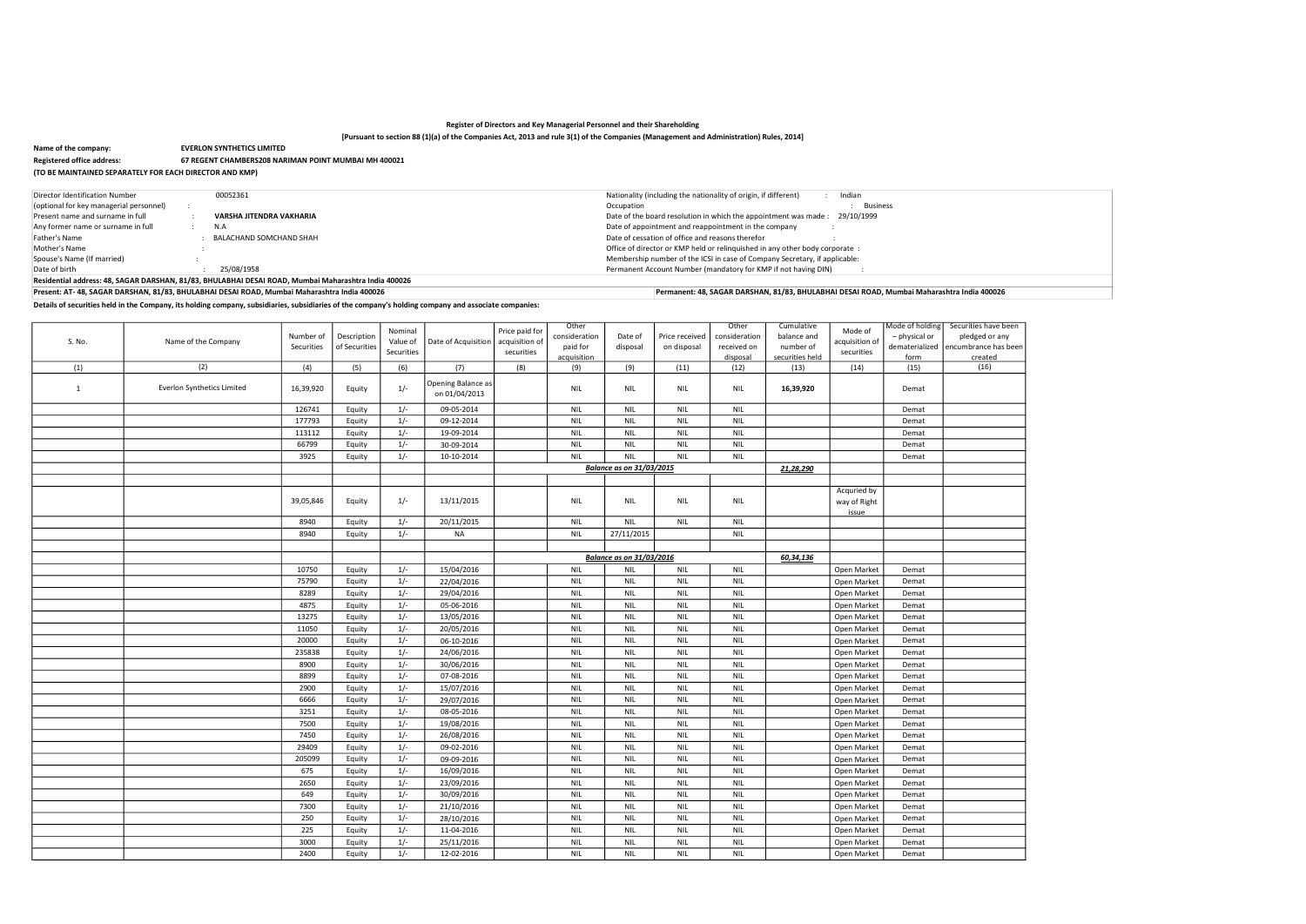# [Pursuant to section 88 (1)(a) of the Companies Act, 2013 and rule 3(1) of the Companies (Management and Administration) Rules, 2014]

Details of securities held in the Company, its holding company, subsidiaries, subsidiaries of the company's holding company and associate companies:

|                                                         | 1.913991111100300110                                 |
|---------------------------------------------------------|------------------------------------------------------|
| Name of the company:                                    | <b>EVERLON SYNTHETICS LIMITED</b>                    |
| <b>Registered office address:</b>                       | 67 REGENT CHAMBERS208 NARIMAN POINT MUMBAI MH 400021 |
| (TO BE MAINTAINED SEPARATELY FOR EACH DIRECTOR AND KMP) |                                                      |

| Director Identification Number          | 00052361                                                                                             | Nationality (including the nationality of origin, if different)<br>Indian     |
|-----------------------------------------|------------------------------------------------------------------------------------------------------|-------------------------------------------------------------------------------|
| (optional for key managerial personnel) |                                                                                                      | <b>Business</b><br>Occupation                                                 |
| Present name and surname in full        | VARSHA JITENDRA VAKHARIA                                                                             | 29/10/1999<br>Date of the board resolution in which the appointment was made: |
| Any former name or surname in full      | N.A                                                                                                  | Date of appointment and reappointment in the company                          |
| Father's Name                           | BALACHAND SOMCHAND SHAH                                                                              | Date of cessation of office and reasons therefor                              |
| Mother's Name                           |                                                                                                      | Office of director or KMP held or relinguished in any other body corporate:   |
| Spouse's Name (If married)              |                                                                                                      | Membership number of the ICSI in case of Company Secretary, if applicable:    |
| Date of birth                           | 25/08/1958                                                                                           | Permanent Account Number (mandatory for KMP if not having DIN)                |
|                                         | Residential address: 48, SAGAR DARSHAN, 81/83, BHULABHAI DESAI ROAD, Mumbai Maharashtra India 400026 |                                                                               |

|              |                            |            |               |            |                                     |                | Other         |                                 |                | Other         | Cumulative      |                                      | Mode of holding | Securities have |
|--------------|----------------------------|------------|---------------|------------|-------------------------------------|----------------|---------------|---------------------------------|----------------|---------------|-----------------|--------------------------------------|-----------------|-----------------|
|              |                            |            |               | Nominal    |                                     | Price paid for |               |                                 |                |               |                 | Mode of                              |                 |                 |
| S. No.       | Name of the Company        | Number of  | Description   | Value of   | Date of Acquisition                 | acquisition of | consideration | Date of                         | Price received | consideration | balance and     | acquisition of                       | - physical or   | pledged or      |
|              |                            | Securities | of Securities | Securities |                                     | securities     | paid for      | disposal                        | on disposal    | received on   | number of       | securities                           | dematerialized  | encumbrance h   |
|              |                            |            |               |            |                                     |                | acquisition   |                                 |                | disposal      | securities held |                                      | form            | created         |
| (1)          | (2)                        | (4)        | (5)           | (6)        | (7)                                 | (8)            | (9)           | (9)                             | (11)           | (12)          | (13)            | (14)                                 | (15)            | (16)            |
| $\mathbf{1}$ | Everlon Synthetics Limited | 16,39,920  | Equity        | $1/-$      | Opening Balance as<br>on 01/04/2013 |                | <b>NIL</b>    | <b>NIL</b>                      | <b>NIL</b>     | <b>NIL</b>    | 16,39,920       |                                      | Demat           |                 |
|              |                            | 126741     | Equity        | $1/-$      | 09-05-2014                          |                | <b>NIL</b>    | <b>NIL</b>                      | <b>NIL</b>     | <b>NIL</b>    |                 |                                      | Demat           |                 |
|              |                            | 177793     | Equity        | $1/-$      | 09-12-2014                          |                | <b>NIL</b>    | <b>NIL</b>                      | <b>NIL</b>     | <b>NIL</b>    |                 |                                      | Demat           |                 |
|              |                            | 113112     | Equity        | $1/-$      | 19-09-2014                          |                | <b>NIL</b>    | <b>NIL</b>                      | <b>NIL</b>     | <b>NIL</b>    |                 |                                      | Demat           |                 |
|              |                            | 66799      | Equity        | $1/-$      | 30-09-2014                          |                | <b>NIL</b>    | <b>NIL</b>                      | <b>NIL</b>     | <b>NIL</b>    |                 |                                      | Demat           |                 |
|              |                            | 3925       | Equity        | $1/-$      | 10-10-2014                          |                | <b>NIL</b>    | <b>NIL</b>                      | <b>NIL</b>     | <b>NIL</b>    |                 |                                      | Demat           |                 |
|              |                            |            |               |            |                                     |                |               | <b>Balance as on 31/03/2015</b> |                |               | 21,28,290       |                                      |                 |                 |
|              |                            |            |               |            |                                     |                |               |                                 |                |               |                 |                                      |                 |                 |
|              |                            |            |               |            |                                     |                |               |                                 |                |               |                 |                                      |                 |                 |
|              |                            | 39,05,846  | Equity        | $1/-$      | 13/11/2015                          |                | <b>NIL</b>    | <b>NIL</b>                      | <b>NIL</b>     | <b>NIL</b>    |                 | Acquried by<br>way of Right<br>issue |                 |                 |
|              |                            | 8940       | Equity        | $1/-$      | 20/11/2015                          |                | <b>NIL</b>    | <b>NIL</b>                      | <b>NIL</b>     | <b>NIL</b>    |                 |                                      |                 |                 |
|              |                            | 8940       | Equity        | $1/-$      | <b>NA</b>                           |                | <b>NIL</b>    | 27/11/2015                      |                | <b>NIL</b>    |                 |                                      |                 |                 |
|              |                            |            |               |            |                                     |                |               |                                 |                |               |                 |                                      |                 |                 |
|              |                            |            |               |            |                                     |                |               | <b>Balance as on 31/03/2016</b> |                |               | 60,34,136       |                                      |                 |                 |
|              |                            |            |               |            |                                     |                |               |                                 |                |               |                 |                                      |                 |                 |
|              |                            | 10750      | Equity        | $1/-$      | 15/04/2016                          |                | <b>NIL</b>    | <b>NIL</b>                      | <b>NIL</b>     | <b>NIL</b>    |                 | Open Market                          | Demat           |                 |
|              |                            | 75790      | Equity        | $1/-$      | 22/04/2016                          |                | <b>NIL</b>    | <b>NIL</b>                      | <b>NIL</b>     | <b>NIL</b>    |                 | Open Market                          | Demat           |                 |
|              |                            | 8289       | Equity        | $1/-$      | 29/04/2016                          |                | <b>NIL</b>    | <b>NIL</b>                      | <b>NIL</b>     | <b>NIL</b>    |                 | Open Market                          | Demat           |                 |
|              |                            | 4875       | Equity        | $1/-$      | 05-06-2016                          |                | <b>NIL</b>    | <b>NIL</b>                      | <b>NIL</b>     | <b>NIL</b>    |                 | Open Market                          | Demat           |                 |
|              |                            | 13275      | Equity        | $1/-$      | 13/05/2016                          |                | <b>NIL</b>    | <b>NIL</b>                      | <b>NIL</b>     | <b>NIL</b>    |                 | Open Market                          | Demat           |                 |
|              |                            | 11050      | Equity        | $1/-$      | 20/05/2016                          |                | <b>NIL</b>    | <b>NIL</b>                      | <b>NIL</b>     | <b>NIL</b>    |                 | Open Market                          | Demat           |                 |
|              |                            | 20000      | Equity        | $1/-$      | 06-10-2016                          |                | <b>NIL</b>    | <b>NIL</b>                      | <b>NIL</b>     | <b>NIL</b>    |                 | Open Market                          | Demat           |                 |
|              |                            | 235838     | Equity        | $1/-$      | 24/06/2016                          |                | <b>NIL</b>    | <b>NIL</b>                      | <b>NIL</b>     | <b>NIL</b>    |                 | Open Market                          | Demat           |                 |
|              |                            | 8900       | Equity        | $1/-$      | 30/06/2016                          |                | <b>NIL</b>    | <b>NIL</b>                      | <b>NIL</b>     | <b>NIL</b>    |                 | Open Market                          | Demat           |                 |
|              |                            | 8899       | Equity        | $1/-$      | 07-08-2016                          |                | <b>NIL</b>    | <b>NIL</b>                      | <b>NIL</b>     | <b>NIL</b>    |                 | Open Market                          | Demat           |                 |
|              |                            | 2900       | Equity        | $1/-$      | 15/07/2016                          |                | <b>NIL</b>    | <b>NIL</b>                      | <b>NIL</b>     | <b>NIL</b>    |                 | Open Market                          | Demat           |                 |
|              |                            | 6666       | Equity        | $1/-$      | 29/07/2016                          |                | <b>NIL</b>    | <b>NIL</b>                      | <b>NIL</b>     | <b>NIL</b>    |                 | Open Market                          | Demat           |                 |
|              |                            | 3251       | Equity        | $1/-$      | 08-05-2016                          |                | <b>NIL</b>    | <b>NIL</b>                      | <b>NIL</b>     | <b>NIL</b>    |                 | Open Market                          | Demat           |                 |
|              |                            | 7500       | Equity        | $1/-$      | 19/08/2016                          |                | <b>NIL</b>    | <b>NIL</b>                      | <b>NIL</b>     | <b>NIL</b>    |                 | Open Market                          | Demat           |                 |
|              |                            | 7450       |               | $1/-$      | 26/08/2016                          |                |               | <b>NIL</b>                      |                | <b>NIL</b>    |                 |                                      |                 |                 |
|              |                            |            | Equity        |            |                                     |                | <b>NIL</b>    |                                 | <b>NIL</b>     |               |                 | Open Market                          | Demat           |                 |
|              |                            | 29409      | Equity        | $1/-$      | 09-02-2016                          |                | <b>NIL</b>    | <b>NIL</b>                      | <b>NIL</b>     | <b>NIL</b>    |                 | Open Market                          | Demat           |                 |
|              |                            | 205099     | Equity        | $1/-$      | 09-09-2016                          |                | <b>NIL</b>    | <b>NIL</b>                      | <b>NIL</b>     | <b>NIL</b>    |                 | Open Market                          | Demat           |                 |
|              |                            | 675        | Equity        | $1/-$      | 16/09/2016                          |                | <b>NIL</b>    | <b>NIL</b>                      | <b>NIL</b>     | <b>NIL</b>    |                 | Open Market                          | Demat           |                 |
|              |                            | 2650       | Equity        | $1/-$      | 23/09/2016                          |                | <b>NIL</b>    | <b>NIL</b>                      | <b>NIL</b>     | <b>NIL</b>    |                 | Open Market                          | Demat           |                 |
|              |                            | 649        | Equity        | $1/-$      | 30/09/2016                          |                | <b>NIL</b>    | <b>NIL</b>                      | <b>NIL</b>     | <b>NIL</b>    |                 | Open Market                          | Demat           |                 |
|              |                            | 7300       | Equity        | $1/-$      | 21/10/2016                          |                | <b>NIL</b>    | <b>NIL</b>                      | <b>NIL</b>     | <b>NIL</b>    |                 | Open Market                          | Demat           |                 |
|              |                            | 250        | Equity        | $1/-$      | 28/10/2016                          |                | <b>NIL</b>    | <b>NIL</b>                      | <b>NIL</b>     | <b>NIL</b>    |                 | Open Market                          | Demat           |                 |
|              |                            | 225        | Equity        | $1/-$      | 11-04-2016                          |                | <b>NIL</b>    | <b>NIL</b>                      | <b>NIL</b>     | <b>NIL</b>    |                 | Open Market                          | Demat           |                 |
|              |                            | 3000       | Equity        | $1/-$      | 25/11/2016                          |                | <b>NIL</b>    | <b>NIL</b>                      | <b>NIL</b>     | <b>NIL</b>    |                 | Open Market                          | Demat           |                 |
|              |                            | 2400       | Equity        | $1/-$      | 12-02-2016                          |                | <b>NIL</b>    | <b>NIL</b>                      | <b>NIL</b>     | <b>NIL</b>    |                 | Open Market                          | Demat           |                 |
|              |                            |            |               |            |                                     |                |               |                                 |                |               |                 |                                      |                 |                 |

| ave been        |
|-----------------|
| or any          |
| e has bee       |
| <u>ed</u><br>;) |
|                 |
|                 |
|                 |
|                 |
|                 |
|                 |
|                 |
|                 |
|                 |
|                 |
|                 |
|                 |
|                 |
|                 |
|                 |
|                 |
|                 |
|                 |
|                 |
|                 |
|                 |
|                 |
|                 |
|                 |
|                 |
|                 |
|                 |
|                 |
|                 |
|                 |
|                 |
|                 |
|                 |
|                 |
|                 |
|                 |
|                 |
|                 |
|                 |
|                 |
|                 |
|                 |
|                 |

Present: AT- 48, SAGAR DARSHAN, 81/83, BHULABHAI DESAI ROAD, Mumbai Maharashtra India 400026 Permanent: 48, SAGAR DARSHAN, 81/83, BHULABHAI DESAI ROAD, Mumbai Maharashtra India 400026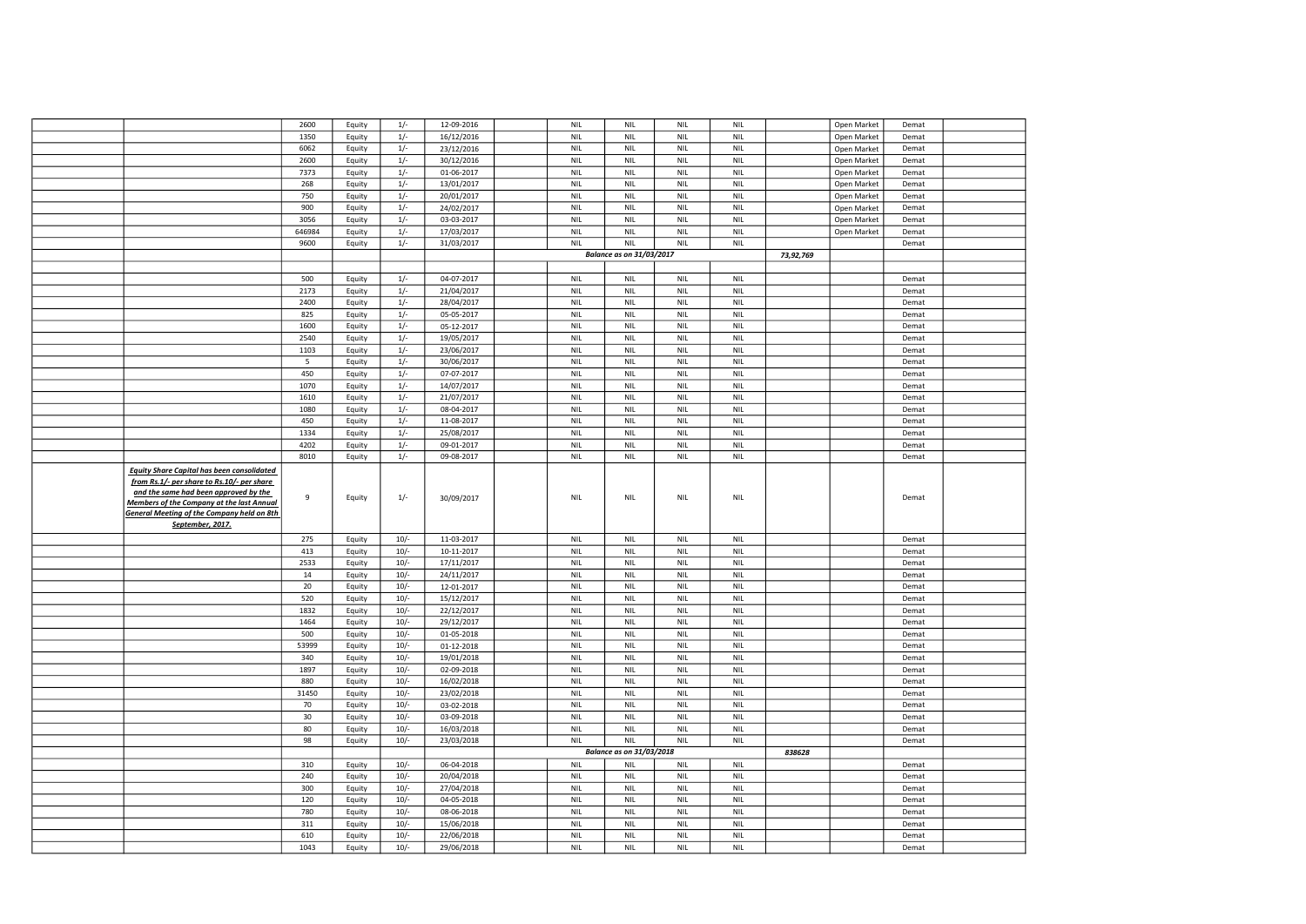|                                                                                                                                                | 2600        | Equity           | $1/-$            | 12-09-2016               | <b>NIL</b>               | <b>NIL</b>                      | <b>NIL</b>               | <b>NIL</b>                  |           | Open Market | Demat          |  |
|------------------------------------------------------------------------------------------------------------------------------------------------|-------------|------------------|------------------|--------------------------|--------------------------|---------------------------------|--------------------------|-----------------------------|-----------|-------------|----------------|--|
|                                                                                                                                                | 1350        | Equity           | $1/-$            | 16/12/2016               | <b>NIL</b>               | <b>NIL</b>                      | <b>NIL</b>               | <b>NIL</b>                  |           | Open Market | Demat          |  |
|                                                                                                                                                | 6062        | Equity           | $1/-$            | 23/12/2016               | <b>NIL</b>               | <b>NIL</b>                      | <b>NIL</b>               | <b>NIL</b>                  |           | Open Market | Demat          |  |
|                                                                                                                                                | 2600        |                  | $1/-$            | 30/12/2016               | <b>NIL</b>               | <b>NIL</b>                      | <b>NIL</b>               | <b>NIL</b>                  |           | Open Market | Demat          |  |
|                                                                                                                                                |             | Equity           |                  |                          |                          |                                 |                          |                             |           |             |                |  |
|                                                                                                                                                | 7373        | Equity           | $1/-$            | 01-06-2017               | <b>NIL</b>               | <b>NIL</b>                      | <b>NIL</b>               | <b>NIL</b>                  |           | Open Market | Demat          |  |
|                                                                                                                                                | 268         | Equity           | $1/-$            | 13/01/2017               | <b>NIL</b>               | <b>NIL</b>                      | <b>NIL</b>               | <b>NIL</b>                  |           | Open Market | Demat          |  |
|                                                                                                                                                | 750         | Equity           | $1/-$            | 20/01/2017               | <b>NIL</b>               | <b>NIL</b>                      | <b>NIL</b>               | <b>NIL</b>                  |           | Open Market | Demat          |  |
|                                                                                                                                                | 900         | Equity           | $1/-$            | 24/02/2017               | <b>NIL</b>               | <b>NIL</b>                      | <b>NIL</b>               | <b>NIL</b>                  |           | Open Market | Demat          |  |
|                                                                                                                                                | 3056        | Equity           | $1/-$            | 03-03-2017               | <b>NIL</b>               | <b>NIL</b>                      | <b>NIL</b>               | <b>NIL</b>                  |           | Open Market | Demat          |  |
|                                                                                                                                                | 646984      | Equity           | $1/-$            | 17/03/2017               | <b>NIL</b>               | <b>NIL</b>                      | <b>NIL</b>               | <b>NIL</b>                  |           | Open Market | Demat          |  |
|                                                                                                                                                |             |                  |                  |                          |                          |                                 |                          |                             |           |             |                |  |
|                                                                                                                                                | 9600        | Equity           | $1/-$            | 31/03/2017               | <b>NIL</b>               | <b>NIL</b>                      | <b>NIL</b>               | <b>NIL</b>                  |           |             | Demat          |  |
|                                                                                                                                                |             |                  |                  |                          |                          | <b>Balance as on 31/03/2017</b> |                          |                             | 73,92,769 |             |                |  |
|                                                                                                                                                |             |                  |                  |                          |                          |                                 |                          |                             |           |             |                |  |
|                                                                                                                                                | 500         | Equity           | $1/-$            | 04-07-2017               | <b>NIL</b>               | <b>NIL</b>                      | <b>NIL</b>               | <b>NIL</b>                  |           |             | Demat          |  |
|                                                                                                                                                | 2173        | Equity           | $1/-$            | 21/04/2017               | <b>NIL</b>               | <b>NIL</b>                      | <b>NIL</b>               | <b>NIL</b>                  |           |             | Demat          |  |
|                                                                                                                                                | 2400        | Equity           | $1/-$            | 28/04/2017               | <b>NIL</b>               | <b>NIL</b>                      | <b>NIL</b>               | <b>NIL</b>                  |           |             | Demat          |  |
|                                                                                                                                                | 825         | Equity           | $1/-$            | 05-05-2017               | <b>NIL</b>               | <b>NIL</b>                      | <b>NIL</b>               | <b>NIL</b>                  |           |             | Demat          |  |
|                                                                                                                                                | 1600        |                  | $1/-$            |                          | <b>NIL</b>               | <b>NIL</b>                      | <b>NIL</b>               | <b>NIL</b>                  |           |             |                |  |
|                                                                                                                                                |             | Equity           |                  | 05-12-2017               |                          |                                 |                          |                             |           |             | Demat          |  |
|                                                                                                                                                | 2540        | Equity           | $1/-$            | 19/05/2017               | <b>NIL</b>               | <b>NIL</b>                      | <b>NIL</b>               | <b>NIL</b>                  |           |             | Demat          |  |
|                                                                                                                                                | 1103        | Equity           | $1/-$            | 23/06/2017               | <b>NIL</b>               | <b>NIL</b>                      | <b>NIL</b>               | <b>NIL</b>                  |           |             | Demat          |  |
|                                                                                                                                                | 5           | Equity           | $1/-$            | 30/06/2017               | <b>NIL</b>               | <b>NIL</b>                      | <b>NIL</b>               | <b>NIL</b>                  |           |             | Demat          |  |
|                                                                                                                                                | 450         | Equity           | $1/-$            | 07-07-2017               | <b>NIL</b>               | <b>NIL</b>                      | <b>NIL</b>               | <b>NIL</b>                  |           |             | Demat          |  |
|                                                                                                                                                | 1070        | Equity           | $1/-$            | 14/07/2017               | <b>NIL</b>               | <b>NIL</b>                      | <b>NIL</b>               | <b>NIL</b>                  |           |             | Demat          |  |
|                                                                                                                                                | 1610        | Equity           | $1/-$            | 21/07/2017               | <b>NIL</b>               | <b>NIL</b>                      | <b>NIL</b>               | <b>NIL</b>                  |           |             | Demat          |  |
|                                                                                                                                                |             |                  |                  |                          |                          |                                 |                          |                             |           |             |                |  |
|                                                                                                                                                | 1080        | Equity           | $1/-$            | 08-04-2017               | <b>NIL</b>               | <b>NIL</b>                      | <b>NIL</b>               | <b>NIL</b>                  |           |             | Demat          |  |
|                                                                                                                                                | 450         | Equity           | $1/-$            | 11-08-2017               | <b>NIL</b>               | <b>NIL</b>                      | <b>NIL</b>               | <b>NIL</b>                  |           |             | Demat          |  |
|                                                                                                                                                | 1334        | Equity           | $1/-$            | 25/08/2017               | <b>NIL</b>               | <b>NIL</b>                      | <b>NIL</b>               | <b>NIL</b>                  |           |             | Demat          |  |
|                                                                                                                                                | 4202        | Equity           | $1/-$            | 09-01-2017               | <b>NIL</b>               | <b>NIL</b>                      | <b>NIL</b>               | <b>NIL</b>                  |           |             | Demat          |  |
|                                                                                                                                                | 8010        | Equity           | $1/-$            | 09-08-2017               | <b>NIL</b>               | <b>NIL</b>                      | <b>NIL</b>               | <b>NIL</b>                  |           |             | Demat          |  |
|                                                                                                                                                |             |                  |                  |                          |                          |                                 |                          |                             |           |             |                |  |
| <b>Equity Share Capital has been consolidated</b><br>from Rs.1/- per share to Rs.10/- per share                                                |             |                  |                  |                          |                          |                                 |                          |                             |           |             |                |  |
| and the same had been approved by the<br><b>Members of the Company at the last Annual</b><br><b>General Meeting of the Company held on 8th</b> | 9           | Equity           | $1/-$            | 30/09/2017               | NIL                      | <b>NIL</b>                      | <b>NIL</b>               | NIL                         |           |             | Demat          |  |
| September, 2017.                                                                                                                               |             |                  |                  |                          |                          |                                 |                          |                             |           |             |                |  |
|                                                                                                                                                | 275         |                  | $10/-$           | 11-03-2017               | <b>NIL</b>               | <b>NIL</b>                      | <b>NIL</b>               | <b>NIL</b>                  |           |             | Demat          |  |
|                                                                                                                                                |             | Equity           |                  |                          |                          |                                 |                          |                             |           |             |                |  |
|                                                                                                                                                | 413         | Equity           | $10/-$           | 10-11-2017               | <b>NIL</b>               | <b>NIL</b>                      | <b>NIL</b>               | <b>NIL</b>                  |           |             | Demat          |  |
|                                                                                                                                                | 2533        | Equity           | $10/-$           | 17/11/2017               | <b>NIL</b>               | <b>NIL</b>                      | <b>NIL</b>               | <b>NIL</b>                  |           |             | Demat          |  |
|                                                                                                                                                | 14          | Equity           | $10/-$           | 24/11/2017               | <b>NIL</b>               | <b>NIL</b>                      | <b>NIL</b>               | <b>NIL</b>                  |           |             | Demat          |  |
|                                                                                                                                                | 20          | Equity           | $10/-$           | 12-01-2017               | <b>NIL</b>               | <b>NIL</b>                      | <b>NIL</b>               | <b>NIL</b>                  |           |             | Demat          |  |
|                                                                                                                                                | 520         | Equity           | $10/-$           | 15/12/2017               | <b>NIL</b>               | <b>NIL</b>                      | <b>NIL</b>               | <b>NIL</b>                  |           |             | Demat          |  |
|                                                                                                                                                | 1832        | Equity           | $10/-$           | 22/12/2017               | <b>NIL</b>               | <b>NIL</b>                      | <b>NIL</b>               | $\ensuremath{\mathsf{NIL}}$ |           |             | Demat          |  |
|                                                                                                                                                | 1464        | Equity           | $10/-$           | 29/12/2017               | <b>NIL</b>               | <b>NIL</b>                      | <b>NIL</b>               | <b>NIL</b>                  |           |             | Demat          |  |
|                                                                                                                                                |             |                  |                  |                          |                          |                                 |                          |                             |           |             |                |  |
|                                                                                                                                                | 500         | Equity           | $10/-$           | 01-05-2018               | NIL                      | NIL                             | NIL                      | <b>NIL</b>                  |           |             | Demat          |  |
|                                                                                                                                                | 53999       | Equity           | $10/-$           | 01-12-2018               | <b>NIL</b>               | <b>NIL</b>                      | <b>NIL</b>               | <b>NIL</b>                  |           |             | Demat          |  |
|                                                                                                                                                | 340         | Equity           | $10/-$           | 19/01/2018               | <b>NIL</b>               | <b>NIL</b>                      | <b>NIL</b>               | <b>NIL</b>                  |           |             | Demat          |  |
|                                                                                                                                                | 1897        | Equity           | $10/-$           | 02-09-2018               | <b>NIL</b>               | <b>NIL</b>                      | <b>NIL</b>               | <b>NIL</b>                  |           |             | Demat          |  |
|                                                                                                                                                | 880         | Equity           | $10/-$           | 16/02/2018               | <b>NIL</b>               | <b>NIL</b>                      | <b>NIL</b>               | <b>NIL</b>                  |           |             | Demat          |  |
|                                                                                                                                                | 31450       | Equity           | $10/-$           | 23/02/2018               | <b>NIL</b>               | <b>NIL</b>                      | <b>NIL</b>               | <b>NIL</b>                  |           |             | Demat          |  |
|                                                                                                                                                | 70          | Equity           | $10/-$           | 03-02-2018               | <b>NIL</b>               | <b>NIL</b>                      | <b>NIL</b>               | <b>NIL</b>                  |           |             | Demat          |  |
|                                                                                                                                                | 30          | Equity           | $10/-$           | 03-09-2018               | <b>NIL</b>               | <b>NIL</b>                      | <b>NIL</b>               | <b>NIL</b>                  |           |             | Demat          |  |
|                                                                                                                                                |             |                  |                  |                          |                          | <b>NIL</b>                      |                          |                             |           |             |                |  |
|                                                                                                                                                | 80          | Equity           | $10/-$           | 16/03/2018               | <b>NIL</b>               |                                 | <b>NIL</b>               | <b>NIL</b>                  |           |             | Demat          |  |
|                                                                                                                                                | 98          | Equity           | $10/-$           | 23/03/2018               | <b>NIL</b>               | <b>NIL</b>                      | <b>NIL</b>               | <b>NIL</b>                  |           |             | Demat          |  |
|                                                                                                                                                |             |                  |                  |                          |                          | <b>Balance as on 31/03/2018</b> |                          |                             | 838628    |             |                |  |
|                                                                                                                                                | 310         | Equity           | $10/-$           | 06-04-2018               | <b>NIL</b>               | <b>NIL</b>                      | <b>NIL</b>               | NIL                         |           |             | Demat          |  |
|                                                                                                                                                | 240         | Equity           | $10/-$           | 20/04/2018               | <b>NIL</b>               | <b>NIL</b>                      | <b>NIL</b>               | <b>NIL</b>                  |           |             | Demat          |  |
|                                                                                                                                                | 300         | Equity           | $10/-$           | 27/04/2018               | <b>NIL</b>               | <b>NIL</b>                      | <b>NIL</b>               | <b>NIL</b>                  |           |             | Demat          |  |
|                                                                                                                                                | 120         | Equity           | $10/-$           | 04-05-2018               | <b>NIL</b>               | <b>NIL</b>                      | <b>NIL</b>               | <b>NIL</b>                  |           |             | Demat          |  |
|                                                                                                                                                |             |                  |                  |                          |                          |                                 |                          |                             |           |             |                |  |
|                                                                                                                                                | 780         | Equity           | $10/-$           | 08-06-2018               | <b>NIL</b>               | <b>NIL</b>                      | <b>NIL</b>               | <b>NIL</b>                  |           |             | Demat          |  |
|                                                                                                                                                | 311         | Equity           | $10/-$           | 15/06/2018               | <b>NIL</b>               | <b>NIL</b>                      | <b>NIL</b>               | <b>NIL</b>                  |           |             | Demat          |  |
|                                                                                                                                                | 610<br>1043 | Equity<br>Equity | $10/-$<br>$10/-$ | 22/06/2018<br>29/06/2018 | <b>NIL</b><br><b>NIL</b> | <b>NIL</b><br><b>NIL</b>        | <b>NIL</b><br><b>NIL</b> | <b>NIL</b><br><b>NIL</b>    |           |             | Demat<br>Demat |  |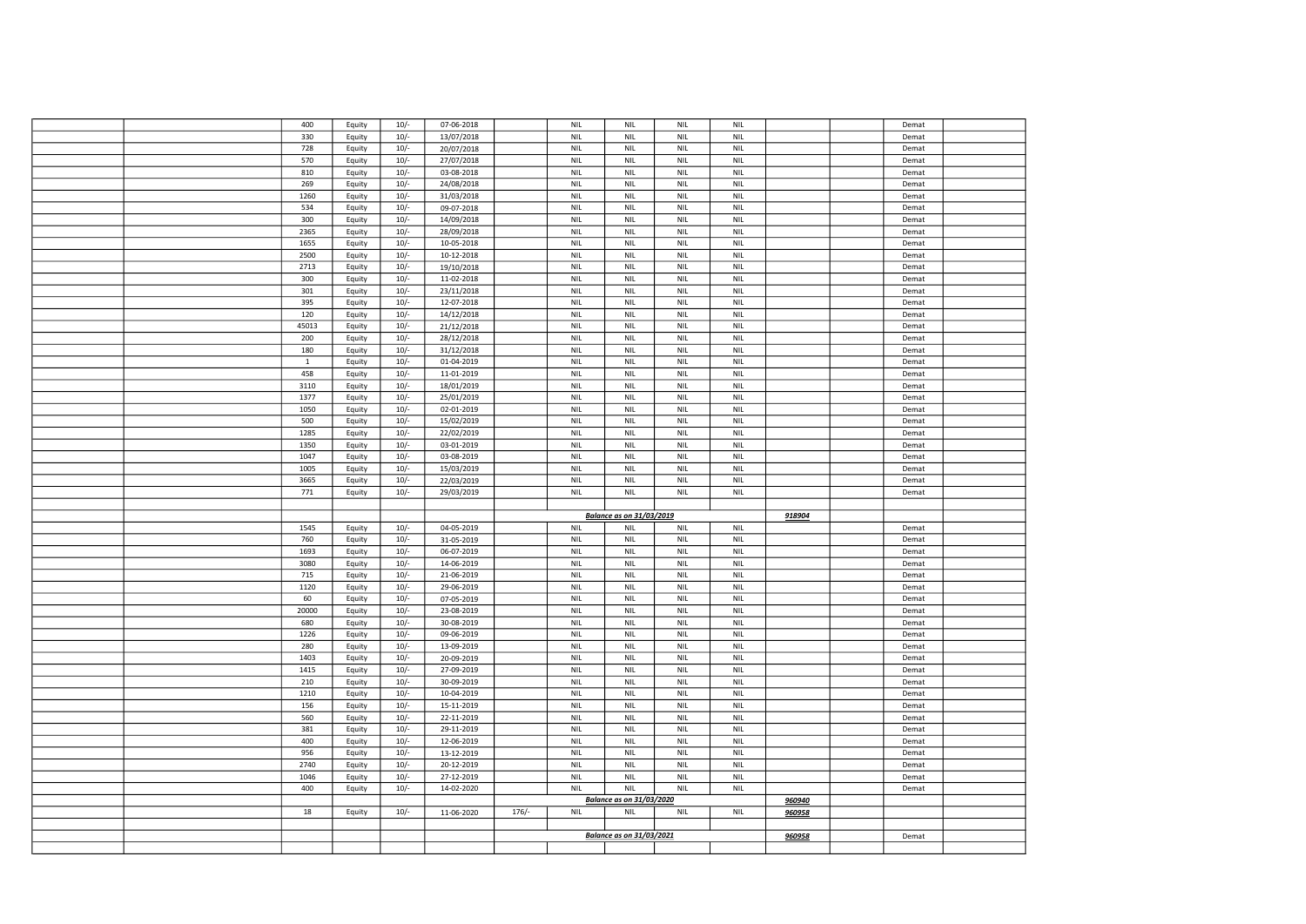|  | 400   | Equity | $10/-$ | 07-06-2018 |         | <b>NIL</b>                  | NIL                             | <b>NIL</b>                  | <b>NIL</b>                  |               | Demat |  |
|--|-------|--------|--------|------------|---------|-----------------------------|---------------------------------|-----------------------------|-----------------------------|---------------|-------|--|
|  | 330   | Equity | $10/-$ | 13/07/2018 |         | <b>NIL</b>                  | <b>NIL</b>                      | <b>NIL</b>                  | <b>NIL</b>                  |               | Demat |  |
|  | 728   | Equity | $10/-$ | 20/07/2018 |         | <b>NIL</b>                  | NIL                             | <b>NIL</b>                  | <b>NIL</b>                  |               | Demat |  |
|  |       |        |        |            |         |                             |                                 |                             |                             |               |       |  |
|  | 570   | Equity | $10/-$ | 27/07/2018 |         | <b>NIL</b>                  | <b>NIL</b>                      | <b>NIL</b>                  | <b>NIL</b>                  |               | Demat |  |
|  | 810   | Equity | $10/-$ | 03-08-2018 |         | <b>NIL</b>                  | <b>NIL</b>                      | <b>NIL</b>                  | <b>NIL</b>                  |               | Demat |  |
|  | 269   | Equity | $10/-$ | 24/08/2018 |         | <b>NIL</b>                  | NIL                             | <b>NIL</b>                  | <b>NIL</b>                  |               | Demat |  |
|  | 1260  | Equity | $10/-$ | 31/03/2018 |         | <b>NIL</b>                  | <b>NIL</b>                      | <b>NIL</b>                  | <b>NIL</b>                  |               | Demat |  |
|  |       |        |        |            |         |                             |                                 |                             |                             |               |       |  |
|  | 534   | Equity | $10/-$ | 09-07-2018 |         | <b>NIL</b>                  | <b>NIL</b>                      | <b>NIL</b>                  | <b>NIL</b>                  |               | Demat |  |
|  | 300   | Equity | $10/-$ | 14/09/2018 |         | <b>NIL</b>                  | <b>NIL</b>                      | <b>NIL</b>                  | <b>NIL</b>                  |               | Demat |  |
|  | 2365  | Equity | $10/-$ | 28/09/2018 |         | <b>NIL</b>                  | <b>NIL</b>                      | <b>NIL</b>                  | <b>NIL</b>                  |               | Demat |  |
|  | 1655  | Equity | $10/-$ | 10-05-2018 |         | <b>NIL</b>                  | NIL                             | <b>NIL</b>                  | <b>NIL</b>                  |               | Demat |  |
|  | 2500  | Equity | $10/-$ | 10-12-2018 |         | <b>NIL</b>                  | <b>NIL</b>                      | <b>NIL</b>                  | <b>NIL</b>                  |               | Demat |  |
|  |       |        |        |            |         |                             |                                 |                             |                             |               |       |  |
|  | 2713  | Equity | $10/-$ | 19/10/2018 |         | <b>NIL</b>                  | <b>NIL</b>                      | <b>NIL</b>                  | <b>NIL</b>                  |               | Demat |  |
|  | 300   | Equity | $10/-$ | 11-02-2018 |         | <b>NIL</b>                  | <b>NIL</b>                      | <b>NIL</b>                  | <b>NIL</b>                  |               | Demat |  |
|  | 301   | Equity | $10/-$ | 23/11/2018 |         | <b>NIL</b>                  | <b>NIL</b>                      | <b>NIL</b>                  | <b>NIL</b>                  |               | Demat |  |
|  | 395   | Equity | $10/-$ | 12-07-2018 |         | <b>NIL</b>                  | NIL                             | <b>NIL</b>                  | <b>NIL</b>                  |               | Demat |  |
|  |       |        |        |            |         |                             |                                 |                             |                             |               |       |  |
|  | 120   | Equity | $10/-$ | 14/12/2018 |         | <b>NIL</b>                  | <b>NIL</b>                      | <b>NIL</b>                  | <b>NIL</b>                  |               | Demat |  |
|  | 45013 | Equity | $10/-$ | 21/12/2018 |         | <b>NIL</b>                  | <b>NIL</b>                      | <b>NIL</b>                  | <b>NIL</b>                  |               | Demat |  |
|  | 200   | Equity | $10/-$ | 28/12/2018 |         | <b>NIL</b>                  | <b>NIL</b>                      | <b>NIL</b>                  | <b>NIL</b>                  |               | Demat |  |
|  | 180   | Equity | $10/-$ | 31/12/2018 |         | <b>NIL</b>                  | <b>NIL</b>                      | <b>NIL</b>                  | <b>NIL</b>                  |               | Demat |  |
|  |       |        |        |            |         |                             |                                 |                             |                             |               |       |  |
|  | 1     | Equity | $10/-$ | 01-04-2019 |         | <b>NIL</b>                  | <b>NIL</b>                      | <b>NIL</b>                  | <b>NIL</b>                  |               | Demat |  |
|  | 458   | Equity | $10/-$ | 11-01-2019 |         | <b>NIL</b>                  | <b>NIL</b>                      | <b>NIL</b>                  | <b>NIL</b>                  |               | Demat |  |
|  | 3110  | Equity | $10/-$ | 18/01/2019 |         | <b>NIL</b>                  | <b>NIL</b>                      | <b>NIL</b>                  | <b>NIL</b>                  |               | Demat |  |
|  | 1377  | Equity | $10/-$ | 25/01/2019 |         | <b>NIL</b>                  | <b>NIL</b>                      | <b>NIL</b>                  | <b>NIL</b>                  |               | Demat |  |
|  |       |        |        |            |         |                             |                                 |                             |                             |               |       |  |
|  | 1050  | Equity | $10/-$ | 02-01-2019 |         | <b>NIL</b>                  | <b>NIL</b>                      | <b>NIL</b>                  | <b>NIL</b>                  |               | Demat |  |
|  | 500   | Equity | $10/-$ | 15/02/2019 |         | <b>NIL</b>                  | NIL                             | <b>NIL</b>                  | <b>NIL</b>                  |               | Demat |  |
|  | 1285  | Equity | $10/-$ | 22/02/2019 |         | <b>NIL</b>                  | <b>NIL</b>                      | <b>NIL</b>                  | <b>NIL</b>                  |               | Demat |  |
|  | 1350  | Equity | $10/-$ | 03-01-2019 |         | <b>NIL</b>                  | <b>NIL</b>                      | <b>NIL</b>                  | <b>NIL</b>                  |               | Demat |  |
|  | 1047  |        | $10/-$ |            |         | <b>NIL</b>                  | <b>NIL</b>                      | <b>NIL</b>                  | <b>NIL</b>                  |               |       |  |
|  |       | Equity |        | 03-08-2019 |         |                             |                                 |                             |                             |               | Demat |  |
|  | 1005  | Equity | $10/-$ | 15/03/2019 |         | <b>NIL</b>                  | NIL                             | <b>NIL</b>                  | <b>NIL</b>                  |               | Demat |  |
|  | 3665  | Equity | $10/-$ | 22/03/2019 |         | <b>NIL</b>                  | NIL                             | <b>NIL</b>                  | <b>NIL</b>                  |               | Demat |  |
|  |       |        |        |            |         |                             |                                 |                             |                             |               |       |  |
|  |       |        |        |            |         |                             |                                 |                             |                             |               |       |  |
|  | 771   | Equity | $10/-$ | 29/03/2019 |         | <b>NIL</b>                  | <b>NIL</b>                      | <b>NIL</b>                  | <b>NIL</b>                  |               | Demat |  |
|  |       |        |        |            |         |                             |                                 |                             |                             |               |       |  |
|  |       |        |        |            |         |                             | <b>Balance as on 31/03/2019</b> |                             |                             | 918904        |       |  |
|  | 1545  | Equity | $10/-$ | 04-05-2019 |         | <b>NIL</b>                  | <b>NIL</b>                      | <b>NIL</b>                  | <b>NIL</b>                  |               | Demat |  |
|  |       |        |        |            |         |                             |                                 |                             |                             |               |       |  |
|  | 760   | Equity | $10/-$ | 31-05-2019 |         | <b>NIL</b>                  | <b>NIL</b>                      | <b>NIL</b>                  | <b>NIL</b>                  |               | Demat |  |
|  | 1693  | Equity | $10/-$ | 06-07-2019 |         | <b>NIL</b>                  | NIL                             | <b>NIL</b>                  | <b>NIL</b>                  |               | Demat |  |
|  | 3080  | Equity | $10/-$ | 14-06-2019 |         | <b>NIL</b>                  | <b>NIL</b>                      | <b>NIL</b>                  | <b>NIL</b>                  |               | Demat |  |
|  | 715   | Equity | $10/-$ | 21-06-2019 |         | <b>NIL</b>                  | NIL                             | <b>NIL</b>                  | <b>NIL</b>                  |               | Demat |  |
|  | 1120  | Equity | $10/-$ | 29-06-2019 |         | <b>NIL</b>                  | <b>NIL</b>                      | <b>NIL</b>                  | <b>NIL</b>                  |               | Demat |  |
|  |       |        |        |            |         |                             |                                 |                             |                             |               |       |  |
|  | 60    | Equity | $10/-$ | 07-05-2019 |         | <b>NIL</b>                  | <b>NIL</b>                      | <b>NIL</b>                  | <b>NIL</b>                  |               | Demat |  |
|  | 20000 | Equity | $10/-$ | 23-08-2019 |         | $\ensuremath{\mathsf{NIL}}$ | <b>NIL</b>                      | $\ensuremath{\mathsf{NIL}}$ | $\ensuremath{\mathsf{NIL}}$ |               | Demat |  |
|  | 680   | Equity | $10/-$ | 30-08-2019 |         | <b>NIL</b>                  | NIL                             | NIL                         | <b>NIL</b>                  |               | Demat |  |
|  | 1226  | Equity | $10/-$ | 09-06-2019 |         | <b>NIL</b>                  | <b>NIL</b>                      | <b>NIL</b>                  | <b>NIL</b>                  |               | Demat |  |
|  | 280   |        |        |            |         |                             | <b>NIL</b>                      | NIL                         | <b>NIL</b>                  |               | Demat |  |
|  |       | Equity | $10/-$ | 13-09-2019 |         | <b>NIL</b>                  |                                 |                             |                             |               |       |  |
|  | 1403  | Equity | $10/-$ | 20-09-2019 |         | <b>NIL</b>                  | <b>NIL</b>                      | <b>NIL</b>                  | <b>NIL</b>                  |               | Demat |  |
|  | 1415  | Equity | $10/-$ | 27-09-2019 |         | <b>NIL</b>                  | <b>NIL</b>                      | <b>NIL</b>                  | <b>NIL</b>                  |               | Demat |  |
|  | 210   | Equity | $10/-$ | 30-09-2019 |         | <b>NIL</b>                  | <b>NIL</b>                      | <b>NIL</b>                  | <b>NIL</b>                  |               | Demat |  |
|  | 1210  | Equity | $10/-$ | 10-04-2019 |         | <b>NIL</b>                  | NIL                             | NIL                         | <b>NIL</b>                  |               | Demat |  |
|  |       |        |        |            |         |                             |                                 |                             |                             |               |       |  |
|  | 156   | Equity | $10/-$ | 15-11-2019 |         | <b>NIL</b>                  | <b>NIL</b>                      | <b>NIL</b>                  | <b>NIL</b>                  |               | Demat |  |
|  | 560   | Equity | $10/-$ | 22-11-2019 |         | <b>NIL</b>                  | <b>NIL</b>                      | <b>NIL</b>                  | <b>NIL</b>                  |               | Demat |  |
|  | 381   | Equity | $10/-$ | 29-11-2019 |         | <b>NIL</b>                  | <b>NIL</b>                      | <b>NIL</b>                  | <b>NIL</b>                  |               | Demat |  |
|  | 400   | Equity | $10/-$ | 12-06-2019 |         | <b>NIL</b>                  | NIL                             | <b>NIL</b>                  | <b>NIL</b>                  |               | Demat |  |
|  |       |        |        |            |         |                             |                                 |                             |                             |               |       |  |
|  | 956   | Equity | $10/-$ | 13-12-2019 |         | <b>NIL</b>                  | <b>NIL</b>                      | <b>NIL</b>                  | <b>NIL</b>                  |               | Demat |  |
|  | 2740  | Equity | $10/-$ | 20-12-2019 |         | NIL                         | <b>NIL</b>                      | NIL                         | <b>NIL</b>                  |               | Demat |  |
|  | 1046  | Equity | $10/-$ | 27-12-2019 |         | <b>NIL</b>                  | <b>NIL</b>                      | <b>NIL</b>                  | $\ensuremath{\mathsf{NIL}}$ |               | Demat |  |
|  | 400   | Equity | $10/-$ | 14-02-2020 |         | <b>NIL</b>                  | <b>NIL</b>                      | <b>NIL</b>                  | <b>NIL</b>                  |               | Demat |  |
|  |       |        |        |            |         |                             | <b>Balance as on 31/03/2020</b> |                             |                             |               |       |  |
|  |       |        |        |            |         |                             |                                 |                             |                             | 960940        |       |  |
|  | 18    | Equity | $10/-$ | 11-06-2020 | $176/-$ | <b>NIL</b>                  | NIL                             | NIL                         | <b>NIL</b>                  | 960958        |       |  |
|  |       |        |        |            |         |                             |                                 |                             |                             |               |       |  |
|  |       |        |        |            |         |                             | Balance as on 31/03/2021        |                             |                             | <u>960958</u> | Demat |  |
|  |       |        |        |            |         |                             |                                 |                             |                             |               |       |  |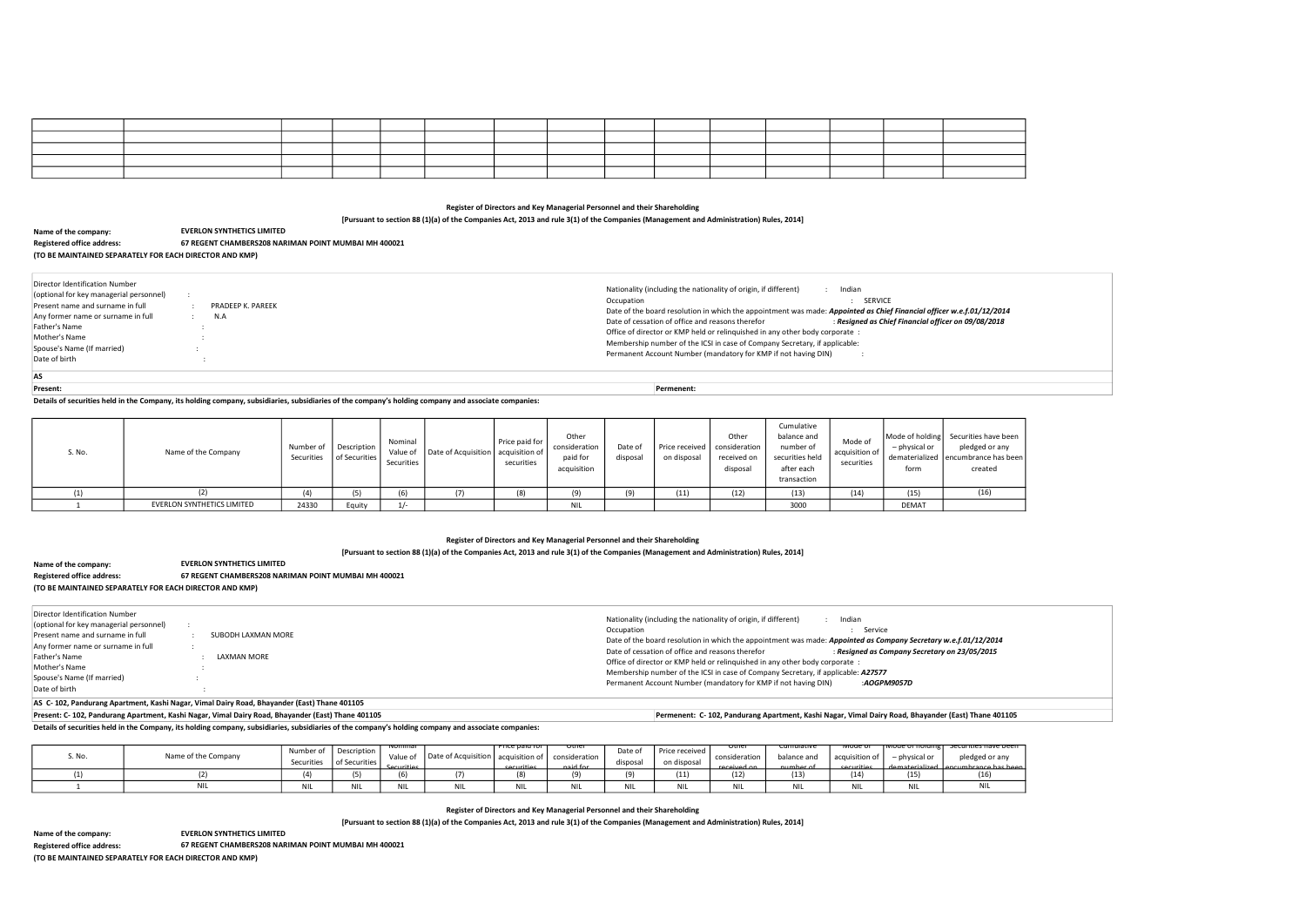| ,他们的心里不知道,他们的心里不知道,他们的心里不知道,他们的心里不知道,他们的心里不知道,他们的心里不知道,他们的心里不知道,他们的心里不知道,他们的心里不知 |  |  |  |  |  | the contract of the contract of the contract of the contract of the contract of the contract of the contract of |  |
|----------------------------------------------------------------------------------|--|--|--|--|--|-----------------------------------------------------------------------------------------------------------------|--|
|                                                                                  |  |  |  |  |  |                                                                                                                 |  |
|                                                                                  |  |  |  |  |  |                                                                                                                 |  |

[Pursuant to section 88 (1)(a) of the Companies Act, 2013 and rule 3(1) of the Companies (Management and Administration) Rules, 2014]

Details of securities held in the Company, its holding company, subsidiaries, subsidiaries of the company's holding company and associate companies:

## Register of Directors and Key Managerial Personnel and their Shareholding

[Pursuant to section 88 (1)(a) of the Companies Act, 2013 and rule 3(1) of the Companies (Management and Administration) Rules, 2014]

Details of securities held in the Company, its holding company, subsidiaries, subsidiaries of the company's holding company and associate companies:

Name of the company: Registered office address: (TO BE MAINTAINED SEPARATELY FOR EACH DIRECTOR AND KMP) EVERLON SYNTHETICS LIMITED 67 REGENT CHAMBERS208 NARIMAN POINT MUMBAI MH 400021

Register of Directors and Key Managerial Personnel and their Shareholding

[Pursuant to section 88 (1)(a) of the Companies Act, 2013 and rule 3(1) of the Companies (Management and Administration) Rules, 2014]

| Director Identification Number          |                                                                                |                                                                                                                 |
|-----------------------------------------|--------------------------------------------------------------------------------|-----------------------------------------------------------------------------------------------------------------|
| (optional for key managerial personnel) |                                                                                | Nationality (including the nationality of origin, if different)<br>Indian                                       |
| Present name and surname in full        | SUBODH LAXMAN MORE                                                             | Service<br>Occupation                                                                                           |
| Any former name or surname in full      |                                                                                | Date of the board resolution in which the appointment was made: Appointed as Company Secretary w.e.f.01/12/2014 |
|                                         | LAXMAN MORE                                                                    | Date of cessation of office and reasons therefor<br>Resigned as Company Secretary on 23/05/2015                 |
| Father's Name                           |                                                                                | Office of director or KMP held or relinguished in any other body corporate:                                     |
| Mother's Name                           |                                                                                | Membership number of the ICSI in case of Company Secretary, if applicable: A27577                               |
| Spouse's Name (If married)              |                                                                                | Permanent Account Number (mandatory for KMP if not having DIN)<br>:AOGPM9057D                                   |
| Date of birth                           |                                                                                |                                                                                                                 |
|                                         | AC C 409 Beed accounts and Hellinger that Belonding Belonding Peak There And O |                                                                                                                 |

Name of the company:

(TO BE MAINTAINED SEPARATELY FOR EACH DIRECTOR AND KMP)

ave been or any e has beer ed:

Securities have been ed or any nce has b<br>16)

Name of the company: Registered office address: (TO BE MAINTAINED SEPARATELY FOR EACH DIRECTOR AND KMP) EVERLON SYNTHETICS LIMITED 67 REGENT CHAMBERS208 NARIMAN POINT MUMBAI MH 400021

AS C- 102, Pandurang Apartment, Kashi Nagar, Vimal Dairy Road, Bhayander (East) Thane 401105

Present: C- 102, Pandurang Apartment, Kashi Nagar, Vimal Dairy Road, Bhayander (East) Thane 401105 Permenent: C- 102, Pandurang Apartment, Kashi Nagar, Vimal Dairy Road, Bhayander (East) Thane 401105

| S. No. | Name of the Company        | Number of | $\Box$ Description $\Box$<br>Securities   of Securities | Nominal<br>Securities | Value of   Date of Acquisition   acquisition of | Price paid for I<br>securities | Other<br>consideration<br>paid for<br>acquisition | Date of<br>disposal | Price received<br>on disposal | Other<br>consideration<br>received on<br>disposal | Cumulative<br>balance and<br>number of<br>securities held<br>after each<br>transaction | Mode of<br>acquisition of<br>securities | Mode of holding Securities ha<br>- physical or<br>dematerialized encumbrance<br>form | pledged o<br>create |
|--------|----------------------------|-----------|---------------------------------------------------------|-----------------------|-------------------------------------------------|--------------------------------|---------------------------------------------------|---------------------|-------------------------------|---------------------------------------------------|----------------------------------------------------------------------------------------|-----------------------------------------|--------------------------------------------------------------------------------------|---------------------|
|        |                            | (1)       | (5)                                                     | (6)                   |                                                 | (8)                            | (9)                                               | (9)                 | (11)                          | (12)                                              | (13)                                                                                   | (14)                                    | (15)                                                                                 | (16)                |
|        | EVERLON SYNTHETICS LIMITED | 24330     | Equity                                                  | $1/-$                 |                                                 |                                | <b>NIL</b>                                        |                     |                               |                                                   | 3000                                                                                   |                                         | <b>DEMAT</b>                                                                         |                     |

| No. | Name of the Company | Number of<br>Securities | Description<br>l of Securities I | ivominal<br>Value of<br>Securities | Date of Acquisition | Price paid for<br>' acquisition of<br><b>Securities</b> | otner<br>consideration<br>naid for | Date of<br>disposal | Price received<br>on disposal | otner<br>consideration<br>received on | cumulative<br>balance and<br>numher of | ινισαε σι<br>$\,$ acquisition of $\,$<br>securities | i Mode of nolding i<br>– physical or<br>dematerialized Lencumbrance | <del>securities na</del><br>pledged c |
|-----|---------------------|-------------------------|----------------------------------|------------------------------------|---------------------|---------------------------------------------------------|------------------------------------|---------------------|-------------------------------|---------------------------------------|----------------------------------------|-----------------------------------------------------|---------------------------------------------------------------------|---------------------------------------|
|     |                     |                         |                                  |                                    |                     | 181                                                     | $\sim$                             |                     | (11)                          | 12)                                   | (13)                                   | (14)                                                | (15)                                                                |                                       |
|     |                     |                         |                                  | <b>NIL</b>                         |                     | M<br><b>UNIL</b>                                        | <b>NIL</b>                         | . אונ               | <b>NIL</b>                    |                                       |                                        | <b>NIL</b>                                          | MIL                                                                 | <b>NIL</b>                            |

Registered office address: 67 REGENT CHAMBERS208 NARIMAN POINT MUMBAI MH 400021

| Date of the board resolution in which the appointment was made: Appointed as Chief Financial officer w.e.f.01/12/2014<br>Resigned as Chief Financial officer on 09/08/2018<br>Date of cessation of office and reasons therefor<br>Office of director or KMP held or relinguished in any other body corporate :<br>Membership number of the ICSI in case of Company Secretary, if applicable:<br>Permanent Account Number (mandatory for KMP if not having DIN) |
|----------------------------------------------------------------------------------------------------------------------------------------------------------------------------------------------------------------------------------------------------------------------------------------------------------------------------------------------------------------------------------------------------------------------------------------------------------------|
|                                                                                                                                                                                                                                                                                                                                                                                                                                                                |

Present: Permenent:

EVERLON SYNTHETICS LIMITED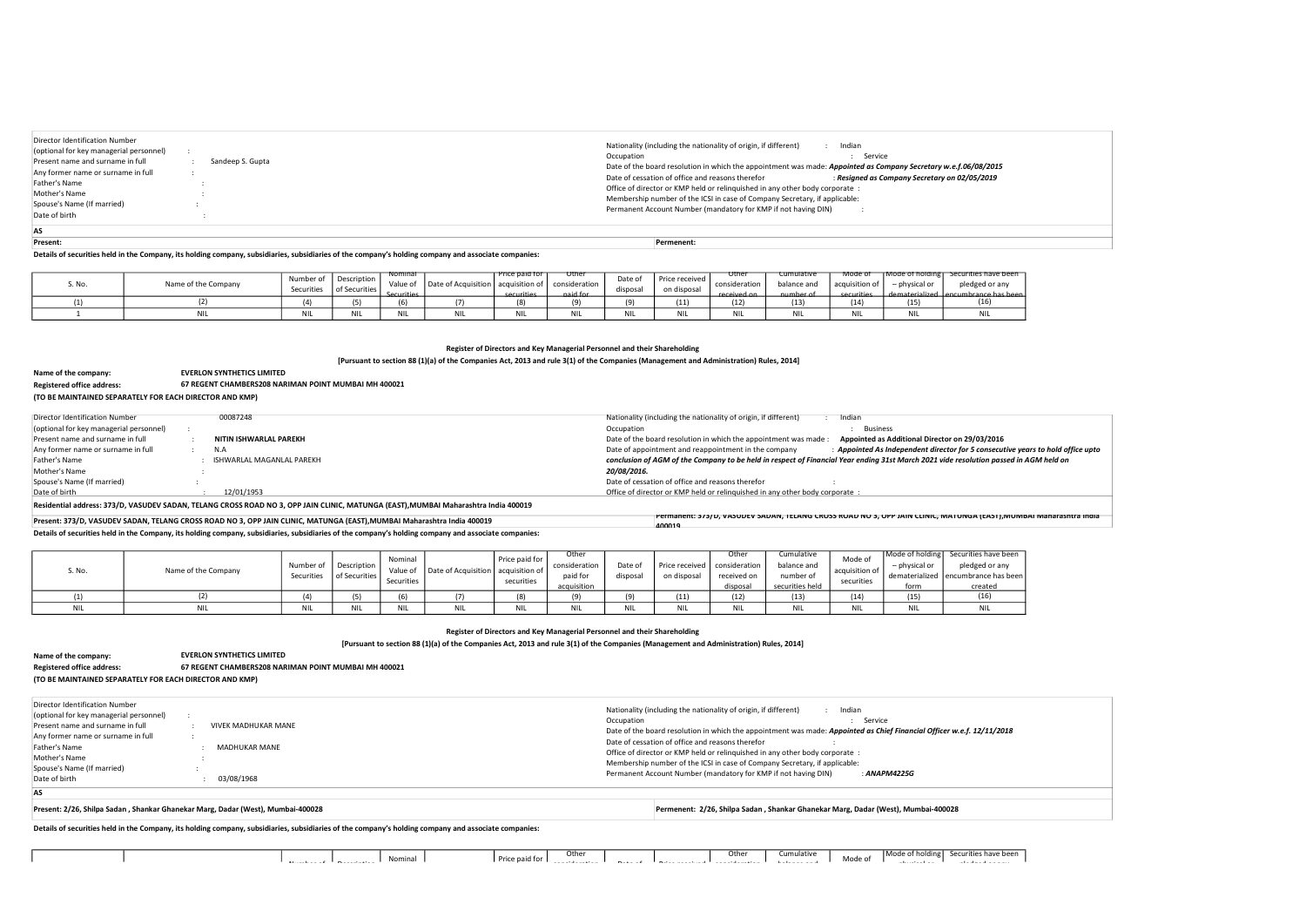Details of securities held in the Company, its holding company, subsidiaries, subsidiaries of the company's holding company and associate companies:

Details of securities held in the Company, its holding company, subsidiaries, subsidiaries of the company's holding company and associate companies:

Register of Directors and Key Managerial Personnel and their Shareholding

[Pursuant to section 88 (1)(a) of the Companies Act, 2013 and rule 3(1) of the Companies (Management and Administration) Rules, 2014]

| Present: | Permenent: |
|----------|------------|

Details of securities held in the Company, its holding company, subsidiaries, subsidiaries of the company's holding company and associate companies:

Residential address: 373/D, VASUDEV SADAN, TELANG CROSS ROAD NO 3, OPP JAIN CLINIC, MATUNGA (EAST),MUMBAI Maharashtra India 400019

| AS                                                                        |                     |                                                                                                                                                 |
|---------------------------------------------------------------------------|---------------------|-------------------------------------------------------------------------------------------------------------------------------------------------|
| Date of birth                                                             | 03/08/1968          |                                                                                                                                                 |
| Spouse's Name (If married)                                                |                     | Permanent Account Number (mandatory for KMP if not having DIN)<br>: ANAPM4225G                                                                  |
| Mother's Name                                                             |                     | Membership number of the ICSI in case of Company Secretary, if applicable:                                                                      |
| Father's Name                                                             | MADHUKAR MANE       | Office of director or KMP held or relinguished in any other body corporate :                                                                    |
| Any former name or surname in full                                        |                     | Date of cessation of office and reasons therefor                                                                                                |
| Present name and surname in full                                          | VIVEK MADHUKAR MANE | Occupation<br>Service<br>Date of the board resolution in which the appointment was made: Appointed as Chief Financial Officer w.e.f. 12/11/2018 |
| Director Identification Number<br>(optional for key managerial personnel) |                     | Nationality (including the nationality of origin, if different)<br>Indian                                                                       |

| i. No. | Name of the Company | Number of<br>Securities | Description<br>of Securities | <u>ivominal</u><br>Value of<br>Securities | Date of Acquisition   acquisition of | <u>Price paid for</u><br>securities | otnei<br>consideration<br>naid for | Date of<br>disposal | Price received<br>on disposal | otner<br>consideration<br>received on | cumulative<br>balance and<br>number of | woae or<br>acquisition of<br>securities | TMODE OF HOIDING L<br>$-$ physical or<br>dematerialized Lencumbrance | <del>securities na</del><br>pledged o |
|--------|---------------------|-------------------------|------------------------------|-------------------------------------------|--------------------------------------|-------------------------------------|------------------------------------|---------------------|-------------------------------|---------------------------------------|----------------------------------------|-----------------------------------------|----------------------------------------------------------------------|---------------------------------------|
|        |                     | $\sqrt{2}$              |                              | . U J                                     |                                      | (8)                                 | (9)                                | $\sim$              | (11)                          | (12)                                  | (13)                                   | (14)                                    | (15)                                                                 |                                       |
|        |                     | <b>NIL</b>              |                              |                                           |                                      | <b>NII</b><br>INIL                  | NII                                | NIL                 | NI                            |                                       | <b>NII</b>                             | <b>NIL</b>                              | <b>NIL</b>                                                           | <b>NIL</b>                            |

| Director Identification Number                                                                                    |                  | Nationality (including the nationality of origin, if different)<br>Indian                                                                                                                                                                                                                                                         |
|-------------------------------------------------------------------------------------------------------------------|------------------|-----------------------------------------------------------------------------------------------------------------------------------------------------------------------------------------------------------------------------------------------------------------------------------------------------------------------------------|
| (optional for key managerial personnel)<br>Present name and surname in full<br>Any former name or surname in full | Sandeep S. Gupta | Service<br>Occupation<br>Date of the board resolution in which the appointment was made: Appointed as Company Secretary w.e.f.06/08/2015                                                                                                                                                                                          |
| Father's Name<br>Mother's Name<br>Spouse's Name (If married)<br>Date of birth                                     |                  | Date of cessation of office and reasons therefor<br>: Resigned as Company Secretary on 02/05/2019<br>Office of director or KMP held or relinguished in any other body corporate :<br>Membership number of the ICSI in case of Company Secretary, if applicable:<br>Permanent Account Number (mandatory for KMP if not having DIN) |

| Name of the company:                                    | <b>EVERLON SYNTHETICS LIMITED</b>                    |
|---------------------------------------------------------|------------------------------------------------------|
| <b>Registered office address:</b>                       | 67 REGENT CHAMBERS208 NARIMAN POINT MUMBAI MH 400021 |
| (TO BE MAINTAINED SEPARATELY FOR EACH DIRECTOR AND KMP) |                                                      |

## Name of the company: Registered office address: (TO BE MAINTAINED SEPARATELY FOR EACH DIRECTOR AND KMP) EVERLON SYNTHETICS LIMITED 67 REGENT CHAMBERS208 NARIMAN POINT MUMBAI MH 400021

| Present: 373/D, VASUDEV SADAN, TELANG CROSS ROAD NO 3, OPP JAIN CLINIC, MATUNGA (EAST), MUMBAI Maharashtra India 400019 | ן וכמוז וויטוען (כמון די האטאר), וואטארן נאט איז טאט א א די איז א א די אט א די אט א די א די האטארי א די האטארי<br>400019 |
|-------------------------------------------------------------------------------------------------------------------------|--------------------------------------------------------------------------------------------------------------------------|
| .                                                                                                                       |                                                                                                                          |

<del>, nave bee</del>n d or any ence has been<br>16)

onsecutive years to hold office upto on passed in AGM held on

have been d or any nce has been ated

| S. No. | Name of the Company | Number of<br>Securities | I Description  <br>of Securities | Nominal<br>Value of<br>Securities | <sup>c</sup>   Date of Acquisition   acquisition of | Price paid for<br>securities | Other<br>consideration<br>paid for<br>acquisition | Date of<br>disposal | Price received  <br>on disposal | Othei<br>consideration<br>received on<br>disposal | Cumulative<br>balance and<br>number of<br>securities held | Mode of<br>acquisition of<br>securities | Mode of holding  <br>– physical or<br>dematerialized encumbrance<br>torm | Securities ha<br>pledged o<br>create |
|--------|---------------------|-------------------------|----------------------------------|-----------------------------------|-----------------------------------------------------|------------------------------|---------------------------------------------------|---------------------|---------------------------------|---------------------------------------------------|-----------------------------------------------------------|-----------------------------------------|--------------------------------------------------------------------------|--------------------------------------|
|        |                     | $\mathbf{A}$            | $\epsilon$                       | $\sim$                            |                                                     | (8)                          | (0)<br>171                                        |                     | (11)                            | (12)<br>ΠZ                                        | (13)                                                      | (14)                                    | (15)                                                                     | (16)                                 |
|        |                     | <b>NIL</b>              | <b>A111</b><br>IN L              | <b>NIL</b>                        | <b>NIL</b>                                          | NIL                          | <b>NIL</b>                                        | <b>NIL</b>          | <b>NIL</b>                      |                                                   | <b>NIL</b>                                                | <b>NIL</b>                              | <b>NII</b>                                                               | <b>NIL</b>                           |

| Director Identification Number          | 00087248                  | Nationality (including the nationality of origin, if different)<br>Indian                                           |
|-----------------------------------------|---------------------------|---------------------------------------------------------------------------------------------------------------------|
| (optional for key managerial personnel) |                           | Business<br>Occupation                                                                                              |
| Present name and surname in full        | NITIN ISHWARLAL PAREKH    | Date of the board resolution in which the appointment was made :<br>Appointed as Additional Director on 29/03/2016  |
| Any former name or surname in full      | N.A                       | : Appointed As Independent director for 5 consecut<br>Date of appointment and reappointment in the company          |
| Father's Name                           | ISHWARLAL MAGANLAL PAREKH | conclusion of AGM of the Company to be held in respect of Financial Year ending 31st March 2021 vide resolution pas |
| Mother's Name                           |                           | 20/08/2016.                                                                                                         |
| Spouse's Name (If married)              |                           | Date of cessation of office and reasons therefor                                                                    |
| Date of birth                           | 12/01/1953                | Office of director or KMP held or relinguished in any other body corporate :                                        |

# Register of Directors and Key Managerial Personnel and their Shareholding

[Pursuant to section 88 (1)(a) of the Companies Act, 2013 and rule 3(1) of the Companies (Management and Administration) Rules, 2014]

Securities have been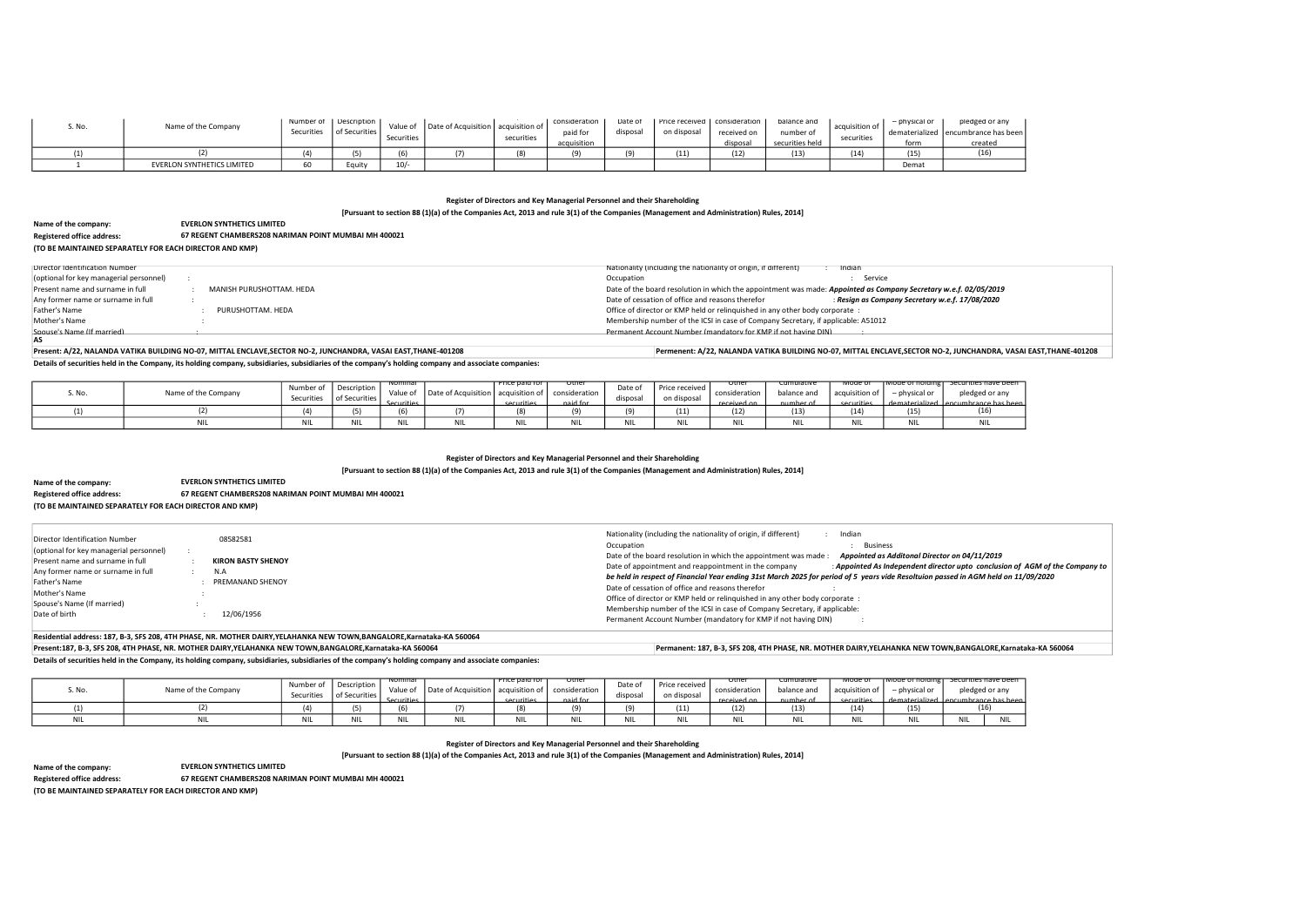[Pursuant to section 88 (1)(a) of the Companies Act, 2013 and rule 3(1) of the Companies (Management and Administration) Rules, 2014]

Details of securities held in the Company, its holding company, subsidiaries, subsidiaries of the company's holding company and associate companies:

# Register of Directors and Key Managerial Personnel and their Shareholding [Pursuant to section 88 (1)(a) of the Companies Act, 2013 and rule 3(1) of the Companies (Management and Administration) Rules, 2014]

Residential address: 187, B-3, SFS 208, 4TH PHASE, NR. MOTHER DAIRY,YELAHANKA NEW TOWN,BANGALORE,Karnataka-KA 560064

Present:187, B-3, SFS 208, 4TH PHASE, NR. MOTHER DAIRY,YELAHANKA NEW TOWN,BANGALORE,Karnataka-KA 560064 Permanent: 187, B-3, SFS 208, 4TH PHASE, NR. MOTHER DAIRY,YELAHANKA NEW TOWN,BANGALORE,Karnataka-KA 560064

Details of securities held in the Company, its holding company, subsidiaries, subsidiaries of the company's holding company and associate companies:

| Name of the company:                                    | <b>EVERLON SYNTHETICS LIMITED</b>                    |
|---------------------------------------------------------|------------------------------------------------------|
| <b>Registered office address:</b>                       | 67 REGENT CHAMBERS208 NARIMAN POINT MUMBAI MH 400021 |
| (TO BE MAINTAINED SEPARATELY FOR EACH DIRECTOR AND KMP) |                                                      |

# Register of Directors and Key Managerial Personnel and their Shareholding

[Pursuant to section 88 (1)(a) of the Companies Act, 2013 and rule 3(1) of the Companies (Management and Administration) Rules, 2014]

Name of the company:

(TO BE MAINTAINED SEPARATELY FOR EACH DIRECTOR AND KMP)

| or any      |
|-------------|
| e has been: |
| ted         |
| 5)          |
|             |

nave been d or any eco has h<br>16)

nclusion of AGM of the Company to  $H$ held on 11/09/2020

nave bee l or any re has be

Registered office address: 67 REGENT CHAMBERS208 NARIMAN POINT MUMBAI MH 400021

EVERLON SYNTHETICS LIMITED

| S. No | Name of the Company        | Securities | Number of   Description  <br>of Securities | Value of<br>Securities | Date of Acquisition   acquisition of | securities | consideration<br>paid for<br>acquisition | Date of<br>disposal | Price received   consideration<br>on disposal | received on<br>disposal | balance and<br>number of<br>securities held | acquisition of<br>securities | physical or<br>form | pledged or any<br>dematerialized   encumbrance has been<br>created |
|-------|----------------------------|------------|--------------------------------------------|------------------------|--------------------------------------|------------|------------------------------------------|---------------------|-----------------------------------------------|-------------------------|---------------------------------------------|------------------------------|---------------------|--------------------------------------------------------------------|
|       |                            |            |                                            | $\sim$                 | (7)                                  |            |                                          |                     | 11)                                           | (12)                    | (13)                                        | (14)                         | (15)                | ι⊥∪                                                                |
|       | EVERLON SYNTHETICS LIMITED | 60         | Equit                                      | $10/-$                 |                                      |            |                                          |                     |                                               |                         |                                             |                              | Demat               |                                                                    |

| Name of the company:                                    | <b>EVERLON SYNTHETICS LIMITED</b>                    |  |  |  |  |  |  |  |  |  |
|---------------------------------------------------------|------------------------------------------------------|--|--|--|--|--|--|--|--|--|
| <b>Registered office address:</b>                       | 67 REGENT CHAMBERS208 NARIMAN POINT MUMBAI MH 400021 |  |  |  |  |  |  |  |  |  |
| (TO BE MAINTAINED SEPARATELY FOR EACH DIRECTOR AND KMP) |                                                      |  |  |  |  |  |  |  |  |  |

| Director Identification Number<br>(optional for key managerial personnel)<br>Present name and surname in full<br>Any former name or surname in full<br>Father's Name<br>Mother's Name<br>Spouse's Name (If married)<br>Date of birth |  | 08582581<br><b>KIRON BASTY SHENOY</b><br>N.A<br>PREMANAND SHENOY<br>12/06/1956 | Nationality (including the nationality of origin, if different)<br>Indian<br>Business<br>Occupation<br>Date of the board resolution in which the appointment was made :<br>Appointed as Additonal Director on 04/11/2019<br>: Appointed As Independent director upto conclusi<br>Date of appointment and reappointment in the company<br>be held in respect of Financial Year ending 31st March 2025 for period of 5 years vide Resoltuion passed in AGM held<br>Date of cessation of office and reasons therefor<br>Office of director or KMP held or relinguished in any other body corporate :<br>Membership number of the ICSI in case of Company Secretary, if applicable:<br>Permanent Account Number (mandatory for KMP if not having DIN) |
|--------------------------------------------------------------------------------------------------------------------------------------------------------------------------------------------------------------------------------------|--|--------------------------------------------------------------------------------|---------------------------------------------------------------------------------------------------------------------------------------------------------------------------------------------------------------------------------------------------------------------------------------------------------------------------------------------------------------------------------------------------------------------------------------------------------------------------------------------------------------------------------------------------------------------------------------------------------------------------------------------------------------------------------------------------------------------------------------------------|
|--------------------------------------------------------------------------------------------------------------------------------------------------------------------------------------------------------------------------------------|--|--------------------------------------------------------------------------------|---------------------------------------------------------------------------------------------------------------------------------------------------------------------------------------------------------------------------------------------------------------------------------------------------------------------------------------------------------------------------------------------------------------------------------------------------------------------------------------------------------------------------------------------------------------------------------------------------------------------------------------------------------------------------------------------------------------------------------------------------|

| S. No. | Name of the Company | Number of<br>Securities | Description<br>I of Securities, | <del>wominar -</del><br>Value of<br><b>Securities</b> | Date of Acquisition   acquisition of | <u>Price paid for </u><br><u>securities</u> | otner<br>consideration<br>naid for | Date of<br>disposal | Price received<br>on disposa. | otne<br>consideration<br>received on | cumulative<br>balance and<br>numher of | - mode o .<br>acquisition of<br>cecurities | TMOde of noiding L<br>- physical or<br>dematerialized Lencumbrance has b | Securities have be<br>pledged or any |     |
|--------|---------------------|-------------------------|---------------------------------|-------------------------------------------------------|--------------------------------------|---------------------------------------------|------------------------------------|---------------------|-------------------------------|--------------------------------------|----------------------------------------|--------------------------------------------|--------------------------------------------------------------------------|--------------------------------------|-----|
|        |                     | $\cdots$                | $\epsilon$                      | (6)                                                   |                                      |                                             |                                    |                     | (11)                          | (12)                                 | (13)                                   |                                            | (15)                                                                     |                                      |     |
|        |                     |                         | <b>NII</b>                      | <b>NIL</b>                                            | NIL                                  |                                             |                                    | NIL                 | <b>NIL</b>                    |                                      | <b>MIL</b><br>INIL                     |                                            |                                                                          |                                      | NIL |

| S. No. | Name of the Company | Number of<br>Securities | Description<br>of Securities | ivominal<br>Value of<br>Securities | Date of Acquisition   acquisition of | Price paid for<br>cecurities | otne<br>consideration<br>naid for | Date of<br>disposal | Price received<br>on disposal | otner<br>consideration<br>received on | cumulative<br>balance and<br>number of | iviode of<br>acquisition of<br>cocuritios | Tiviode of noiding i<br>- physical or<br>dematerialized Lencumbrance | <del>securities na</del><br>pledged o |
|--------|---------------------|-------------------------|------------------------------|------------------------------------|--------------------------------------|------------------------------|-----------------------------------|---------------------|-------------------------------|---------------------------------------|----------------------------------------|-------------------------------------------|----------------------------------------------------------------------|---------------------------------------|
|        |                     |                         |                              | (6)                                |                                      | (8)                          | ía                                | $\sim$              | (11)                          | (12)                                  | (13)                                   | (14)                                      | (15)                                                                 |                                       |
|        |                     | ואו                     |                              |                                    |                                      | <b>BULL</b><br>.             | <b>M111</b><br>INIL               | <b>NIL</b>          | <b>NI</b>                     |                                       | <b>NIL</b>                             | <b>NIL</b>                                |                                                                      | <b>NIL</b>                            |

| Director Identification Number          |                          | Nationality (including the nationality of origin, if different)                                                  | Indian                                         |
|-----------------------------------------|--------------------------|------------------------------------------------------------------------------------------------------------------|------------------------------------------------|
| (optional for key managerial personnel) |                          | Occupation                                                                                                       | Service                                        |
| Present name and surname in full        | MANISH PURUSHOTTAM. HEDA | Date of the board resolution in which the appointment was made: Appointed as Company Secretary w.e.f. 02/05/2019 |                                                |
| Any former name or surname in full      |                          | Date of cessation of office and reasons therefor                                                                 | Resign as Company Secretary w.e.f. 17/08/2020: |
| Father's Name                           | PURUSHOTTAM. HEDA        | Office of director or KMP held or relinguished in any other body corporate:                                      |                                                |
| Mother's Name                           |                          | Membership number of the ICSI in case of Company Secretary, if applicable: A51012                                |                                                |
| Spouse's Name (If married)              |                          | Permanent Account Number (mandatory for KMP if not having DIN)                                                   |                                                |
| AS                                      |                          |                                                                                                                  |                                                |

## Present: A/22, NALANDA VATIKA BUILDING NO-07, MITTAL ENCLAVE,SECTOR NO-2, JUNCHANDRA, VASAI EAST,THANE-401208 Permenent: A/22, NALANDA VATIKA BUILDING NO-07, MITTAL ENCLAVE,SECTOR NO-2, JUNCHANDRA, VASAI EAST,THANE-401208